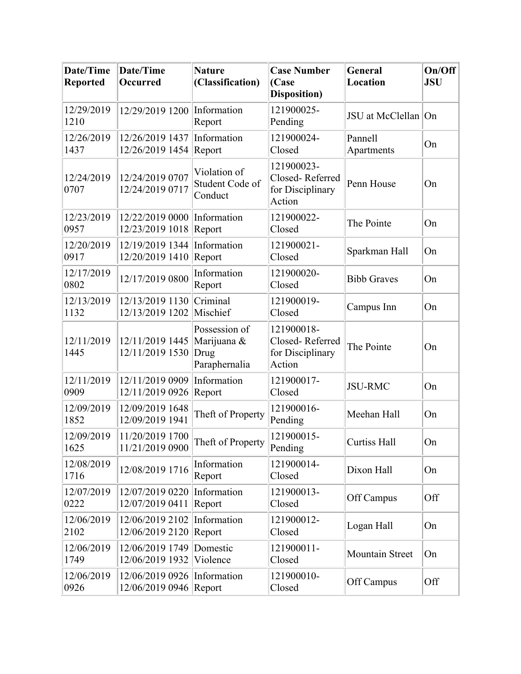| <b>Date/Time</b><br><b>Reported</b> | Date/Time<br>Occurred              | <b>Nature</b><br>(Classification)                     | <b>Case Number</b><br>(Case<br><b>Disposition</b> )         | General<br>Location    | On/Off<br><b>JSU</b> |
|-------------------------------------|------------------------------------|-------------------------------------------------------|-------------------------------------------------------------|------------------------|----------------------|
| 12/29/2019<br>1210                  | 12/29/2019 1200                    | Information<br>Report                                 | 121900025-<br>Pending                                       | JSU at McClellan On    |                      |
| 12/26/2019<br>1437                  | 12/26/2019 1437<br>12/26/2019 1454 | Information<br>Report                                 | 121900024-<br>Closed                                        | Pannell<br>Apartments  | On                   |
| 12/24/2019<br>0707                  | 12/24/2019 0707<br>12/24/2019 0717 | Violation of<br>Student Code of<br>Conduct            | 121900023-<br>Closed-Referred<br>for Disciplinary<br>Action | Penn House             | On                   |
| 12/23/2019<br>0957                  | 12/22/2019 0000<br>12/23/2019 1018 | Information<br>Report                                 | 121900022-<br>Closed                                        | The Pointe             | On                   |
| 12/20/2019<br>0917                  | 12/19/2019 1344<br>12/20/2019 1410 | Information<br>Report                                 | 121900021-<br>Closed                                        | Sparkman Hall          | On                   |
| 12/17/2019<br>0802                  | 12/17/2019 0800                    | Information<br>Report                                 | 121900020-<br>Closed                                        | <b>Bibb Graves</b>     | On                   |
| 12/13/2019<br>1132                  | 12/13/2019 1130<br>12/13/2019 1202 | Criminal<br>Mischief                                  | 121900019-<br>Closed                                        | Campus Inn             | On                   |
| 12/11/2019<br>1445                  | 12/11/2019 1445<br>12/11/2019 1530 | Possession of<br>Marijuana &<br>Drug<br>Paraphernalia | 121900018-<br>Closed-Referred<br>for Disciplinary<br>Action | The Pointe             | On                   |
| 12/11/2019<br>0909                  | 12/11/2019 0909<br>12/11/2019 0926 | Information<br>Report                                 | 121900017-<br>Closed                                        | <b>JSU-RMC</b>         | On                   |
| 12/09/2019<br>1852                  | 12/09/2019 1648<br>12/09/2019 1941 | Theft of Property                                     | 121900016-<br>Pending                                       | Meehan Hall            | On                   |
| 12/09/2019<br>1625                  | 11/20/2019 1700<br>11/21/2019 0900 | Theft of Property                                     | 121900015-<br>Pending                                       | Curtiss Hall           | On                   |
| 12/08/2019<br>1716                  | 12/08/2019 1716                    | Information<br>Report                                 | 121900014-<br>Closed                                        | Dixon Hall             | On                   |
| 12/07/2019<br>0222                  | 12/07/2019 0220<br>12/07/2019 0411 | Information<br>Report                                 | 121900013-<br>Closed                                        | Off Campus             | Off                  |
| 12/06/2019<br>2102                  | 12/06/2019 2102<br>12/06/2019 2120 | Information<br>Report                                 | 121900012-<br>Closed                                        | Logan Hall             | On                   |
| 12/06/2019<br>1749                  | 12/06/2019 1749<br>12/06/2019 1932 | Domestic<br>Violence                                  | 121900011-<br>Closed                                        | <b>Mountain Street</b> | On                   |
| 12/06/2019<br>0926                  | 12/06/2019 0926<br>12/06/2019 0946 | Information<br>Report                                 | 121900010-<br>Closed                                        | Off Campus             | Off                  |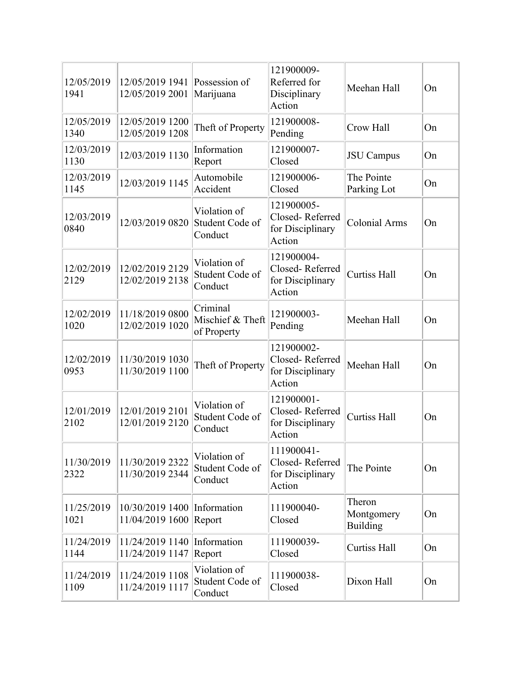| 12/05/2019<br>1941 | $12/05/2019$ 1941 Possession of<br>12/05/2019 2001    | Marijuana                                   | 121900009-<br>Referred for<br>Disciplinary<br>Action        | Meehan Hall                             | On |
|--------------------|-------------------------------------------------------|---------------------------------------------|-------------------------------------------------------------|-----------------------------------------|----|
| 12/05/2019<br>1340 | 12/05/2019 1200<br>12/05/2019 1208                    | Theft of Property                           | 121900008-<br>Pending                                       | Crow Hall                               | On |
| 12/03/2019<br>1130 | 12/03/2019 1130                                       | Information<br>Report                       | 121900007-<br>Closed                                        | <b>JSU</b> Campus                       | On |
| 12/03/2019<br>1145 | 12/03/2019 1145                                       | Automobile<br>Accident                      | 121900006-<br>Closed                                        | The Pointe<br>Parking Lot               | On |
| 12/03/2019<br>0840 | 12/03/2019 0820                                       | Violation of<br>Student Code of<br>Conduct  | 121900005-<br>Closed-Referred<br>for Disciplinary<br>Action | <b>Colonial Arms</b>                    | On |
| 12/02/2019<br>2129 | 12/02/2019 2129<br>12/02/2019 2138                    | Violation of<br>Student Code of<br>Conduct  | 121900004-<br>Closed-Referred<br>for Disciplinary<br>Action | <b>Curtiss Hall</b>                     | On |
| 12/02/2019<br>1020 | 11/18/2019 0800<br>12/02/2019 1020                    | Criminal<br>Mischief & Theft<br>of Property | 121900003-<br>Pending                                       | Meehan Hall                             | On |
| 12/02/2019<br>0953 | 11/30/2019 1030<br>11/30/2019 1100                    | Theft of Property                           | 121900002-<br>Closed-Referred<br>for Disciplinary<br>Action | Meehan Hall                             | On |
| 12/01/2019<br>2102 | 12/01/2019 2101<br>12/01/2019 2120                    | Violation of<br>Student Code of<br>Conduct  | 121900001-<br>Closed-Referred<br>for Disciplinary<br>Action | <b>Curtiss Hall</b>                     | On |
| 11/30/2019<br>2322 | 11/30/2019 2322<br>11/30/2019 2344                    | Violation of<br>Student Code of<br>Conduct  | 111900041-<br>Closed-Referred<br>for Disciplinary<br>Action | The Pointe                              | On |
| 11/25/2019<br>1021 | 10/30/2019 1400 Information<br>11/04/2019 1600 Report |                                             | 111900040-<br>Closed                                        | Theron<br>Montgomery<br><b>Building</b> | On |
| 11/24/2019<br>1144 | 11/24/2019 1140 Information<br>11/24/2019 1147        | Report                                      | 111900039-<br>Closed                                        | <b>Curtiss Hall</b>                     | On |
| 11/24/2019<br>1109 | 11/24/2019 1108<br>11/24/2019 1117                    | Violation of<br>Student Code of<br>Conduct  | 111900038-<br>Closed                                        | Dixon Hall                              | On |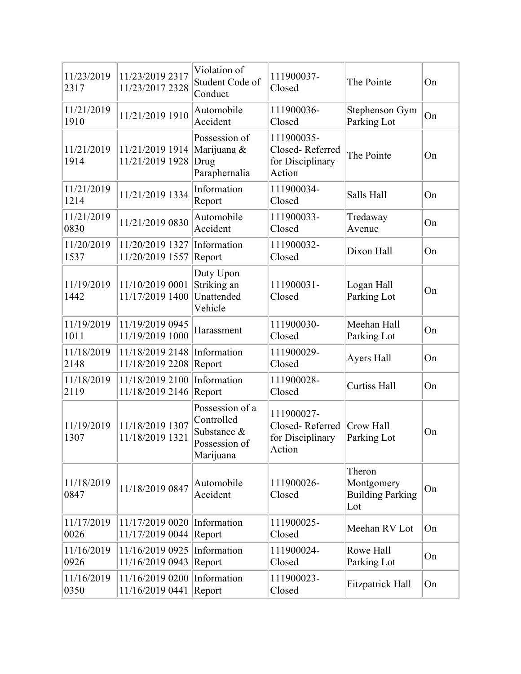| 11/23/2019<br>2317 | 11/23/2019 2317<br>11/23/2017 2328 | Violation of<br>Student Code of<br>Conduct                                 | 111900037-<br>Closed                                        | The Pointe                                             | On |
|--------------------|------------------------------------|----------------------------------------------------------------------------|-------------------------------------------------------------|--------------------------------------------------------|----|
| 11/21/2019<br>1910 | 11/21/2019 1910                    | Automobile<br>Accident                                                     | 111900036-<br>Closed                                        | Stephenson Gym<br>Parking Lot                          | On |
| 11/21/2019<br>1914 | 11/21/2019 1914<br>11/21/2019 1928 | Possession of<br>Marijuana &<br>Drug<br>Paraphernalia                      | 111900035-<br>Closed-Referred<br>for Disciplinary<br>Action | The Pointe                                             | On |
| 11/21/2019<br>1214 | 11/21/2019 1334                    | Information<br>Report                                                      | 111900034-<br>Closed                                        | Salls Hall                                             | On |
| 11/21/2019<br>0830 | 11/21/2019 0830                    | Automobile<br>Accident                                                     | 111900033-<br>Closed                                        | Tredaway<br>Avenue                                     | On |
| 11/20/2019<br>1537 | 11/20/2019 1327<br>11/20/2019 1557 | Information<br>Report                                                      | 111900032-<br>Closed                                        | Dixon Hall                                             | On |
| 11/19/2019<br>1442 | 11/10/2019 0001<br>11/17/2019 1400 | Duty Upon<br>Striking an<br>Unattended<br>Vehicle                          | 111900031-<br>Closed                                        | Logan Hall<br>Parking Lot                              | On |
| 11/19/2019<br>1011 | 11/19/2019 0945<br>11/19/2019 1000 | Harassment                                                                 | 111900030-<br>Closed                                        | Meehan Hall<br>Parking Lot                             | On |
| 11/18/2019<br>2148 | 11/18/2019 2148<br>11/18/2019 2208 | Information<br>Report                                                      | 111900029-<br>Closed                                        | Ayers Hall                                             | On |
| 11/18/2019<br>2119 | 11/18/2019 2100<br>11/18/2019 2146 | Information<br>Report                                                      | 111900028-<br>Closed                                        | <b>Curtiss Hall</b>                                    | On |
| 11/19/2019<br>1307 | 11/18/2019 1307<br>11/18/2019 1321 | Possession of a<br>Controlled<br>Substance &<br>Possession of<br>Marijuana | 111900027-<br>Closed-Referred<br>for Disciplinary<br>Action | Crow Hall<br>Parking Lot                               | On |
| 11/18/2019<br>0847 | 11/18/2019 0847                    | Automobile<br>Accident                                                     | 111900026-<br>Closed                                        | Theron<br>Montgomery<br><b>Building Parking</b><br>Lot | On |
| 11/17/2019<br>0026 | 11/17/2019 0020<br>11/17/2019 0044 | Information<br>Report                                                      | 111900025-<br>Closed                                        | Meehan RV Lot                                          | On |
| 11/16/2019<br>0926 | 11/16/2019 0925<br>11/16/2019 0943 | Information<br>Report                                                      | 111900024-<br>Closed                                        | Rowe Hall<br>Parking Lot                               | On |
| 11/16/2019<br>0350 | 11/16/2019 0200<br>11/16/2019 0441 | Information<br>Report                                                      | 111900023-<br>Closed                                        | <b>Fitzpatrick Hall</b>                                | On |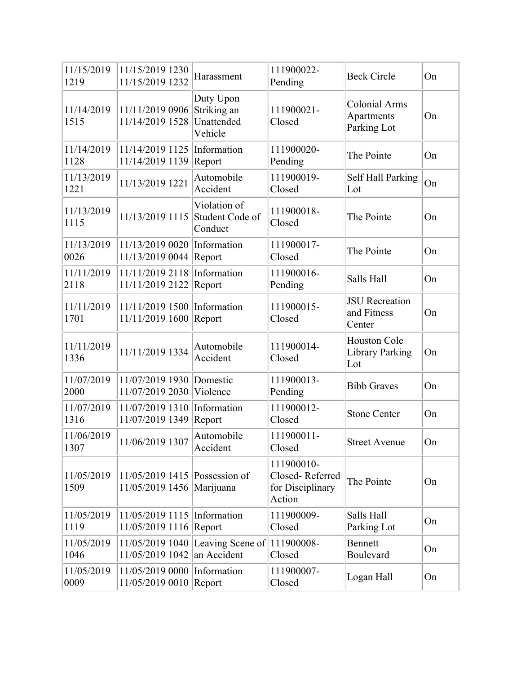| 11/15/2019<br>1219 | 11/15/2019 1230<br>11/15/2019 1232        | Harassment                                        | 111900022-<br>Pending                                       | <b>Beck Circle</b>                                | On |
|--------------------|-------------------------------------------|---------------------------------------------------|-------------------------------------------------------------|---------------------------------------------------|----|
| 11/14/2019<br>1515 | 11/11/2019 0906<br>11/14/2019 1528        | Duty Upon<br>Striking an<br>Unattended<br>Vehicle | 111900021-<br>Closed                                        | <b>Colonial Arms</b><br>Apartments<br>Parking Lot | On |
| 11/14/2019<br>1128 | 11/14/2019 1125<br>11/14/2019 1139        | Information<br>Report                             | 111900020-<br>Pending                                       | The Pointe                                        | On |
| 11/13/2019<br>1221 | 11/13/2019 1221                           | Automobile<br>Accident                            | 111900019-<br>Closed                                        | Self Hall Parking<br>Lot                          | On |
| 11/13/2019<br>1115 | 11/13/2019 1115                           | Violation of<br>Student Code of<br>Conduct        | 111900018-<br>Closed                                        | The Pointe                                        | On |
| 11/13/2019<br>0026 | 11/13/2019 0020<br>11/13/2019 0044        | Information<br>Report                             | 111900017-<br>Closed                                        | The Pointe                                        | On |
| 11/11/2019<br>2118 | 11/11/2019 2118<br>11/11/2019 2122        | Information<br>Report                             | 111900016-<br>Pending                                       | Salls Hall                                        | On |
| 11/11/2019<br>1701 | 11/11/2019 1500<br>11/11/2019 1600        | Information<br>Report                             | 111900015-<br>Closed                                        | <b>JSU</b> Recreation<br>and Fitness<br>Center    | On |
| 11/11/2019<br>1336 | 11/11/2019 1334                           | Automobile<br>Accident                            | 111900014-<br>Closed                                        | Houston Cole<br>Library Parking<br>Lot            | On |
| 11/07/2019<br>2000 | 11/07/2019 1930<br>11/07/2019 2030        | Domestic<br>Violence                              | 111900013-<br>Pending                                       | <b>Bibb Graves</b>                                | On |
| 11/07/2019<br>1316 | 11/07/2019 1310<br>11/07/2019 1349        | Information<br>Report                             | 111900012-<br>Closed                                        | <b>Stone Center</b>                               | On |
| 11/06/2019<br>1307 | 11/06/2019 1307                           | Automobile<br>Accident                            | 111900011-<br>Closed                                        | <b>Street Avenue</b>                              | On |
| 11/05/2019<br>1509 | 11/05/2019 1415<br>11/05/2019 1456        | Possession of<br>Marijuana                        | 111900010-<br>Closed-Referred<br>for Disciplinary<br>Action | The Pointe                                        | On |
| 11/05/2019<br>1119 | 11/05/2019 1115<br>11/05/2019 1116        | Information<br>Report                             | 111900009-<br>Closed                                        | Salls Hall<br>Parking Lot                         | On |
| 11/05/2019<br>1046 | 11/05/2019 1040<br>11/05/2019 1042        | Leaving Scene of $ 111900008$ -<br>an Accident    | Closed                                                      | <b>Bennett</b><br>Boulevard                       | On |
| 11/05/2019<br>0009 | 11/05/2019 0000<br>11/05/2019 0010 Report | Information                                       | 111900007-<br>Closed                                        | Logan Hall                                        | On |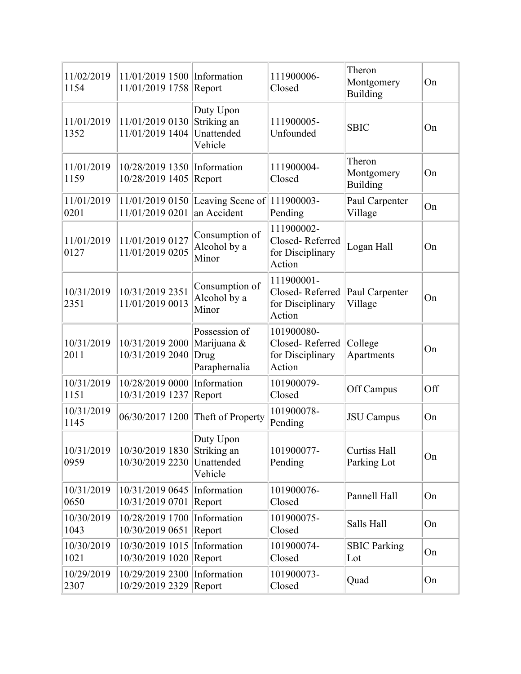| 11/02/2019<br>1154 | 11/01/2019 1500 Information<br>11/01/2019 1758 Report   |                                                       | 111900006-<br>Closed                                        | Theron<br>Montgomery<br><b>Building</b> | On  |
|--------------------|---------------------------------------------------------|-------------------------------------------------------|-------------------------------------------------------------|-----------------------------------------|-----|
| 11/01/2019<br>1352 | 11/01/2019 0130<br>11/01/2019 1404                      | Duty Upon<br>Striking an<br>Unattended<br>Vehicle     | 111900005-<br>Unfounded                                     | <b>SBIC</b>                             | On  |
| 11/01/2019<br>1159 | 10/28/2019 1350 Information<br>10/28/2019 1405          | Report                                                | 111900004-<br>Closed                                        | Theron<br>Montgomery<br><b>Building</b> | On  |
| 11/01/2019<br>0201 | 11/01/2019 0150<br>11/01/2019 0201                      | Leaving Scene of 111900003-<br>an Accident            | Pending                                                     | Paul Carpenter<br>Village               | On  |
| 11/01/2019<br>0127 | 11/01/2019 0127<br>11/01/2019 0205                      | Consumption of<br>Alcohol by a<br>Minor               | 111900002-<br>Closed-Referred<br>for Disciplinary<br>Action | Logan Hall                              | On  |
| 10/31/2019<br>2351 | 10/31/2019 2351<br>11/01/2019 0013                      | Consumption of<br>Alcohol by a<br>Minor               | 111900001-<br>Closed-Referred<br>for Disciplinary<br>Action | Paul Carpenter<br>Village               | On  |
| 10/31/2019<br>2011 | 10/31/2019 2000<br>10/31/2019 2040                      | Possession of<br>Marijuana &<br>Drug<br>Paraphernalia | 101900080-<br>Closed-Referred<br>for Disciplinary<br>Action | College<br>Apartments                   | On  |
| 10/31/2019<br>1151 | 10/28/2019 0000<br>10/31/2019 1237                      | Information<br>Report                                 | 101900079-<br>Closed                                        | Off Campus                              | Off |
| 10/31/2019<br>1145 | 06/30/2017 1200                                         | Theft of Property                                     | 101900078-<br>Pending                                       | <b>JSU</b> Campus                       | On  |
| 10/31/2019<br>0959 | 10/30/2019 1830<br>10/30/2019 2230                      | Duty Upon<br>Striking an<br>Unattended<br>Vehicle     | 101900077-<br>Pending                                       | <b>Curtiss Hall</b><br>Parking Lot      | On  |
| 10/31/2019<br>0650 | 10/31/2019 0645<br>10/31/2019 0701                      | Information<br>Report                                 | 101900076-<br>Closed                                        | Pannell Hall                            | On  |
| 10/30/2019<br>1043 | 10/28/2019 1700<br>10/30/2019 0651                      | Information<br>Report                                 | 101900075-<br>Closed                                        | Salls Hall                              | On  |
| 10/30/2019<br>1021 | $10/30/2019$ 1015 Information<br>10/30/2019 1020 Report |                                                       | 101900074-<br>Closed                                        | <b>SBIC Parking</b><br>Lot              | On  |
| 10/29/2019<br>2307 | 10/29/2019 2300 Information<br>10/29/2019 2329 Report   |                                                       | 101900073-<br>Closed                                        | Quad                                    | On  |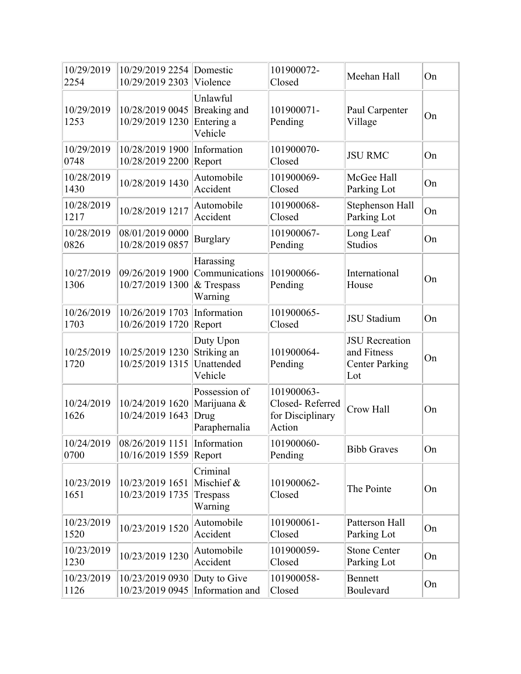| 10/29/2019<br>2254 | 10/29/2019 2254<br>10/29/2019 2303             | Domestic<br>Violence                                  | 101900072-<br>Closed                                        | Meehan Hall                                                          | On |
|--------------------|------------------------------------------------|-------------------------------------------------------|-------------------------------------------------------------|----------------------------------------------------------------------|----|
| 10/29/2019<br>1253 | 10/28/2019 0045<br>10/29/2019 1230             | Unlawful<br>Breaking and<br>Entering a<br>Vehicle     | 101900071-<br>Pending                                       | Paul Carpenter<br>Village                                            | On |
| 10/29/2019<br>0748 | 10/28/2019 1900<br>10/28/2019 2200             | Information<br>Report                                 | 101900070-<br>Closed                                        | <b>JSU RMC</b>                                                       | On |
| 10/28/2019<br>1430 | 10/28/2019 1430                                | Automobile<br>Accident                                | 101900069-<br>Closed                                        | McGee Hall<br>Parking Lot                                            | On |
| 10/28/2019<br>1217 | 10/28/2019 1217                                | Automobile<br>Accident                                | 101900068-<br>Closed                                        | Stephenson Hall<br>Parking Lot                                       | On |
| 10/28/2019<br>0826 | 08/01/2019 0000<br>10/28/2019 0857             | <b>Burglary</b>                                       | 101900067-<br>Pending                                       | Long Leaf<br><b>Studios</b>                                          | On |
| 10/27/2019<br>1306 | 09/26/2019 1900<br>10/27/2019 1300             | Harassing<br>Communications<br>& Trespass<br>Warning  | 101900066-<br>Pending                                       | International<br>House                                               | On |
| 10/26/2019<br>1703 | 10/26/2019 1703<br>10/26/2019 1720             | Information<br>Report                                 | 101900065-<br>Closed                                        | <b>JSU</b> Stadium                                                   | On |
| 10/25/2019<br>1720 | 10/25/2019 1230<br>10/25/2019 1315             | Duty Upon<br>Striking an<br>Unattended<br>Vehicle     | 101900064-<br>Pending                                       | <b>JSU</b> Recreation<br>and Fitness<br><b>Center Parking</b><br>Lot | On |
| 10/24/2019<br>1626 | 10/24/2019 1620<br>10/24/2019 1643             | Possession of<br>Marijuana &<br>Drug<br>Paraphernalia | 101900063-<br>Closed-Referred<br>for Disciplinary<br>Action | Crow Hall                                                            | On |
| 10/24/2019<br>0700 | 08/26/2019 1151 Information<br>10/16/2019 1559 | Report                                                | 101900060-<br>Pending                                       | <b>Bibb Graves</b>                                                   | On |
| 10/23/2019<br>1651 | 10/23/2019 1651<br>10/23/2019 1735             | Criminal<br>Mischief &<br>Trespass<br>Warning         | 101900062-<br>Closed                                        | The Pointe                                                           | On |
| 10/23/2019<br>1520 | 10/23/2019 1520                                | Automobile<br>Accident                                | 101900061-<br>Closed                                        | Patterson Hall<br>Parking Lot                                        | On |
| 10/23/2019<br>1230 | 10/23/2019 1230                                | Automobile<br>Accident                                | 101900059-<br>Closed                                        | <b>Stone Center</b><br>Parking Lot                                   | On |
| 10/23/2019<br>1126 | 10/23/2019 0930<br>10/23/2019 0945             | Duty to Give<br>Information and                       | 101900058-<br>Closed                                        | <b>Bennett</b><br>Boulevard                                          | On |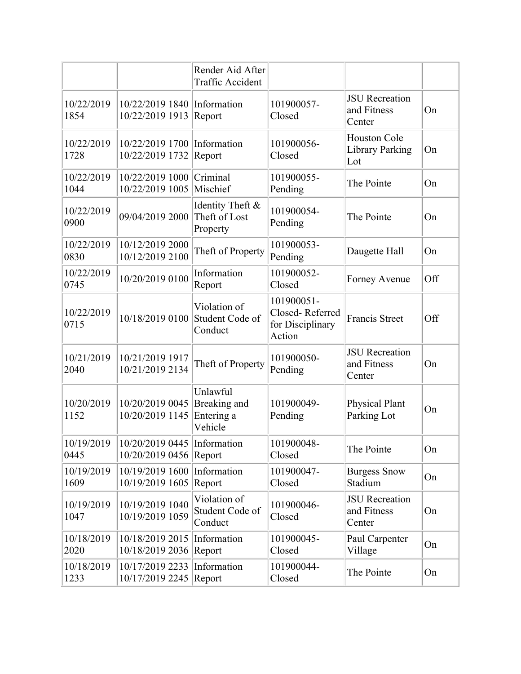|                    |                                                | Render Aid After<br>Traffic Accident              |                                                             |                                                |     |
|--------------------|------------------------------------------------|---------------------------------------------------|-------------------------------------------------------------|------------------------------------------------|-----|
| 10/22/2019<br>1854 | 10/22/2019 1840<br>10/22/2019 1913             | Information<br>Report                             | 101900057-<br>Closed                                        | <b>JSU</b> Recreation<br>and Fitness<br>Center | On  |
| 10/22/2019<br>1728 | 10/22/2019 1700<br>10/22/2019 1732             | Information<br>Report                             | 101900056-<br>Closed                                        | Houston Cole<br><b>Library Parking</b><br>Lot  | On  |
| 10/22/2019<br>1044 | 10/22/2019 1000<br>10/22/2019 1005             | Criminal<br>Mischief                              | 101900055-<br>Pending                                       | The Pointe                                     | On  |
| 10/22/2019<br>0900 | 09/04/2019 2000                                | Identity Theft &<br>Theft of Lost<br>Property     | 101900054-<br>Pending                                       | The Pointe                                     | On  |
| 10/22/2019<br>0830 | 10/12/2019 2000<br>10/12/2019 2100             | Theft of Property                                 | 101900053-<br>Pending                                       | Daugette Hall                                  | On  |
| 10/22/2019<br>0745 | 10/20/2019 0100                                | Information<br>Report                             | 101900052-<br>Closed                                        | Forney Avenue                                  | Off |
| 10/22/2019<br>0715 | 10/18/2019 0100                                | Violation of<br>Student Code of<br>Conduct        | 101900051-<br>Closed-Referred<br>for Disciplinary<br>Action | <b>Francis Street</b>                          | Off |
| 10/21/2019<br>2040 | 10/21/2019 1917<br>10/21/2019 2134             | Theft of Property                                 | 101900050-<br>Pending                                       | <b>JSU</b> Recreation<br>and Fitness<br>Center | On  |
| 10/20/2019<br>1152 | 10/20/2019 0045<br>10/20/2019 1145             | Unlawful<br>Breaking and<br>Entering a<br>Vehicle | 101900049-<br>Pending                                       | Physical Plant<br>Parking Lot                  | On  |
| 10/19/2019<br>0445 | 10/20/2019 0445 Information<br>10/20/2019 0456 | Report                                            | 101900048-<br>Closed                                        | The Pointe                                     | On  |
| 10/19/2019<br>1609 | 10/19/2019 1600<br>10/19/2019 1605             | Information<br>Report                             | 101900047-<br>Closed                                        | <b>Burgess Snow</b><br>Stadium                 | On  |
| 10/19/2019<br>1047 | 10/19/2019 1040<br>10/19/2019 1059             | Violation of<br>Student Code of<br>Conduct        | 101900046-<br>Closed                                        | <b>JSU</b> Recreation<br>and Fitness<br>Center | On  |
| 10/18/2019<br>2020 | 10/18/2019 2015<br>10/18/2019 2036             | Information<br>Report                             | 101900045-<br>Closed                                        | Paul Carpenter<br>Village                      | On  |
| 10/18/2019<br>1233 | 10/17/2019 2233<br>10/17/2019 2245             | Information<br>Report                             | 101900044-<br>Closed                                        | The Pointe                                     | On  |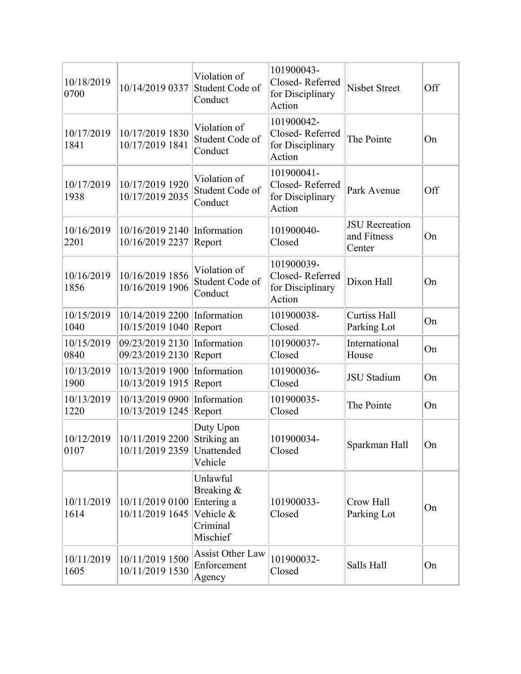| 10/18/2019<br>0700  | 10/14/2019 0337                    | Violation of<br>Student Code of<br>Conduct                                | 101900043-<br>Closed-Referred<br>for Disciplinary<br>Action | <b>Nisbet Street</b>                           | Off |
|---------------------|------------------------------------|---------------------------------------------------------------------------|-------------------------------------------------------------|------------------------------------------------|-----|
| 10/17/2019<br>1841  | 10/17/2019 1830<br>10/17/2019 1841 | Violation of<br>Student Code of<br>Conduct                                | 101900042-<br>Closed-Referred<br>for Disciplinary<br>Action | The Pointe                                     | On  |
| 10/17/2019<br>1938  | 10/17/2019 1920<br>10/17/2019 2035 | Violation of<br>Student Code of<br>Conduct                                | 101900041-<br>Closed-Referred<br>for Disciplinary<br>Action | Park Avenue                                    | Off |
| 10/16/2019<br>2201  | 10/16/2019 2140<br>10/16/2019 2237 | Information<br>Report                                                     | 101900040-<br>Closed                                        | <b>JSU</b> Recreation<br>and Fitness<br>Center | On  |
| 10/16/2019<br>1856  | 10/16/2019 1856<br>10/16/2019 1906 | Violation of<br>Student Code of<br>Conduct                                | 101900039-<br>Closed-Referred<br>for Disciplinary<br>Action | Dixon Hall                                     | On  |
| 10/15/2019<br>1040  | 10/14/2019 2200<br>10/15/2019 1040 | Information<br>Report                                                     | 101900038-<br>Closed                                        | <b>Curtiss Hall</b><br>Parking Lot             | On  |
| 10/15/2019<br>0840  | 09/23/2019 2130<br>09/23/2019 2130 | Information<br>Report                                                     | 101900037-<br>Closed                                        | International<br>House                         | On  |
| 10/13/2019<br>1900  | 10/13/2019 1900<br>10/13/2019 1915 | Information<br>Report                                                     | 101900036-<br>Closed                                        | <b>JSU</b> Stadium                             | On  |
| 10/13/2019<br>1220  | 10/13/2019 0900<br>10/13/2019 1245 | Information<br>Report                                                     | 101900035-<br>Closed                                        | The Pointe                                     | On  |
| 10/12/2019<br> 0107 | 10/11/2019 2200<br>10/11/2019 2359 | Duty Upon<br>Striking an<br>Unattended<br>Vehicle                         | 101900034-<br>Closed                                        | Sparkman Hall                                  | On  |
| 10/11/2019<br>1614  | 10/11/2019 0100<br>10/11/2019 1645 | Unlawful<br>Breaking &<br>Entering a<br>Vehicle &<br>Criminal<br>Mischief | 101900033-<br>Closed                                        | Crow Hall<br>Parking Lot                       | On  |
| 10/11/2019<br>1605  | 10/11/2019 1500<br>10/11/2019 1530 | <b>Assist Other Law</b><br>Enforcement<br>Agency                          | 101900032-<br>Closed                                        | Salls Hall                                     | On  |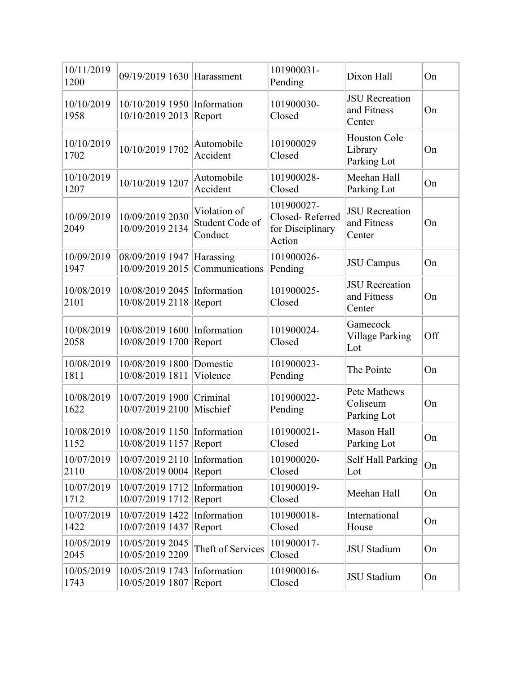| 10/11/2019<br>1200 | 09/19/2019 1630                           | Harassment                                 | 101900031-<br>Pending                                       | Dixon Hall                                     | On  |
|--------------------|-------------------------------------------|--------------------------------------------|-------------------------------------------------------------|------------------------------------------------|-----|
| 10/10/2019<br>1958 | 10/10/2019 1950<br>10/10/2019 2013        | Information<br>Report                      | 101900030-<br>Closed                                        | <b>JSU</b> Recreation<br>and Fitness<br>Center | On  |
| 10/10/2019<br>1702 | 10/10/2019 1702                           | Automobile<br>Accident                     | 101900029<br>Closed                                         | Houston Cole<br>Library<br>Parking Lot         | On  |
| 10/10/2019<br>1207 | 10/10/2019 1207                           | Automobile<br>Accident                     | 101900028-<br>Closed                                        | Meehan Hall<br>Parking Lot                     | On  |
| 10/09/2019<br>2049 | 10/09/2019 2030<br>10/09/2019 2134        | Violation of<br>Student Code of<br>Conduct | 101900027-<br>Closed-Referred<br>for Disciplinary<br>Action | <b>JSU</b> Recreation<br>and Fitness<br>Center | On  |
| 10/09/2019<br>1947 | 08/09/2019 1947<br>10/09/2019 2015        | Harassing<br>Communications                | 101900026-<br>Pending                                       | <b>JSU</b> Campus                              | On  |
| 10/08/2019<br>2101 | 10/08/2019 2045<br>10/08/2019 2118        | Information<br>Report                      | 101900025-<br>Closed                                        | <b>JSU</b> Recreation<br>and Fitness<br>Center | On  |
| 10/08/2019<br>2058 | 10/08/2019 1600<br>10/08/2019 1700        | Information<br>Report                      | 101900024-<br>Closed                                        | Gamecock<br><b>Village Parking</b><br>Lot      | Off |
| 10/08/2019<br>1811 | 10/08/2019 1800<br>10/08/2019 1811        | Domestic<br>Violence                       | 101900023-<br>Pending                                       | The Pointe                                     | On  |
| 10/08/2019<br>1622 | 10/07/2019 1900<br>10/07/2019 2100        | Criminal<br>Mischief                       | 101900022-<br>Pending                                       | Pete Mathews<br>Coliseum<br>Parking Lot        | On  |
| 10/08/2019<br>1152 | 10/08/2019 1150<br>10/08/2019 1157 Report | Information                                | 101900021-<br>Closed                                        | <b>Mason Hall</b><br>Parking Lot               | On  |
| 10/07/2019<br>2110 | 10/07/2019 2110<br>10/08/2019 0004        | Information<br>Report                      | 101900020-<br>Closed                                        | Self Hall Parking<br>Lot                       | On  |
| 10/07/2019<br>1712 | 10/07/2019 1712<br>10/07/2019 1712        | Information<br>Report                      | 101900019-<br>Closed                                        | Meehan Hall                                    | On  |
| 10/07/2019<br>1422 | 10/07/2019 1422<br>10/07/2019 1437        | Information<br>Report                      | 101900018-<br>Closed                                        | International<br>House                         | On  |
| 10/05/2019<br>2045 | 10/05/2019 2045<br>10/05/2019 2209        | Theft of Services                          | 101900017-<br>Closed                                        | JSU Stadium                                    | On  |
| 10/05/2019<br>1743 | 10/05/2019 1743<br>10/05/2019 1807        | Information<br>Report                      | 101900016-<br>Closed                                        | <b>JSU</b> Stadium                             | On  |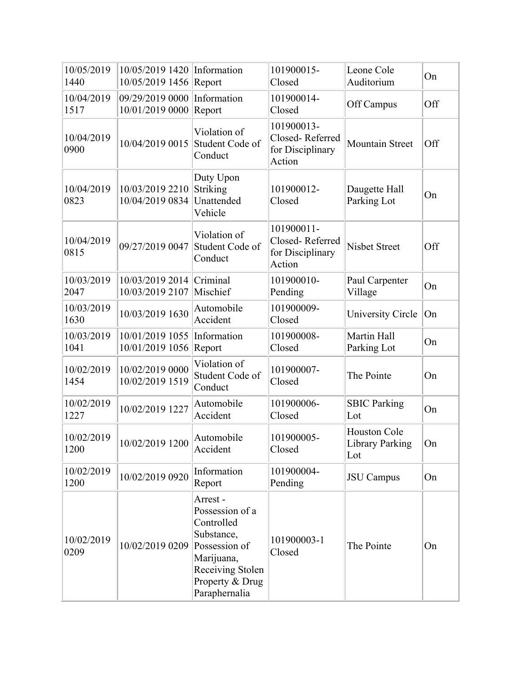| 10/05/2019<br>1440 | 10/05/2019 1420<br>10/05/2019 1456 | Information<br>Report                                                                                                                         | 101900015-<br>Closed                                        | Leone Cole<br>Auditorium                             | On  |
|--------------------|------------------------------------|-----------------------------------------------------------------------------------------------------------------------------------------------|-------------------------------------------------------------|------------------------------------------------------|-----|
| 10/04/2019<br>1517 | 09/29/2019 0000<br>10/01/2019 0000 | Information<br>Report                                                                                                                         | 101900014-<br>Closed                                        | Off Campus                                           | Off |
| 10/04/2019<br>0900 | 10/04/2019 0015                    | Violation of<br>Student Code of<br>Conduct                                                                                                    | 101900013-<br>Closed-Referred<br>for Disciplinary<br>Action | <b>Mountain Street</b>                               | Off |
| 10/04/2019<br>0823 | 10/03/2019 2210<br>10/04/2019 0834 | Duty Upon<br>Striking<br>Unattended<br>Vehicle                                                                                                | 101900012-<br>Closed                                        | Daugette Hall<br>Parking Lot                         | On  |
| 10/04/2019<br>0815 | 09/27/2019 0047                    | Violation of<br>Student Code of<br>Conduct                                                                                                    | 101900011-<br>Closed-Referred<br>for Disciplinary<br>Action | <b>Nisbet Street</b>                                 | Off |
| 10/03/2019<br>2047 | 10/03/2019 2014<br>10/03/2019 2107 | Criminal<br>Mischief                                                                                                                          | 101900010-<br>Pending                                       | Paul Carpenter<br>Village                            | On  |
| 10/03/2019<br>1630 | 10/03/2019 1630                    | Automobile<br>Accident                                                                                                                        | 101900009-<br>Closed                                        | <b>University Circle</b>                             | On  |
| 10/03/2019<br>1041 | 10/01/2019 1055<br>10/01/2019 1056 | Information<br>Report                                                                                                                         | 101900008-<br>Closed                                        | Martin Hall<br>Parking Lot                           | On  |
| 10/02/2019<br>1454 | 10/02/2019 0000<br>10/02/2019 1519 | Violation of<br>Student Code of<br>Conduct                                                                                                    | 101900007-<br>Closed                                        | The Pointe                                           | On  |
| 10/02/2019<br>1227 | 10/02/2019 1227                    | Automobile<br>Accident                                                                                                                        | 101900006-<br>Closed                                        | <b>SBIC Parking</b><br>Lot                           | On  |
| 10/02/2019<br>1200 | 10/02/2019 1200                    | Automobile<br>Accident                                                                                                                        | 101900005-<br>Closed                                        | <b>Houston Cole</b><br><b>Library Parking</b><br>Lot | On  |
| 10/02/2019<br>1200 | 10/02/2019 0920                    | Information<br>Report                                                                                                                         | 101900004-<br>Pending                                       | <b>JSU</b> Campus                                    | On  |
| 10/02/2019<br>0209 | 10/02/2019 0209                    | Arrest-<br>Possession of a<br>Controlled<br>Substance,<br>Possession of<br>Marijuana,<br>Receiving Stolen<br>Property & Drug<br>Paraphernalia | 101900003-1<br>Closed                                       | The Pointe                                           | On  |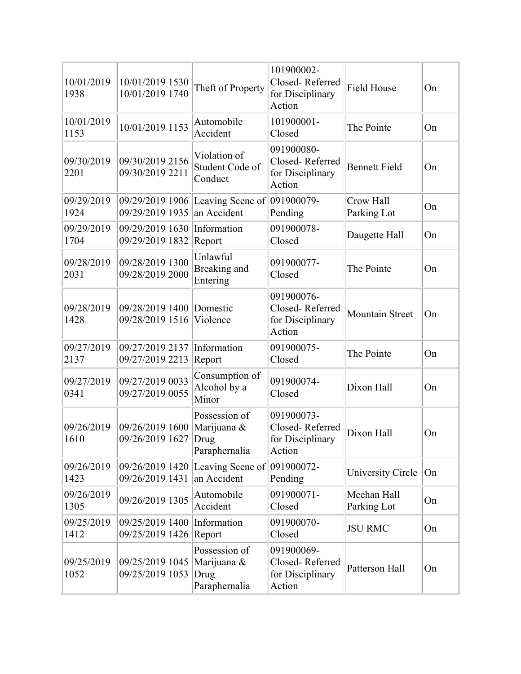| 10/01/2019<br>1938 | 10/01/2019 1530<br>10/01/2019 1740        | Theft of Property                                     | 101900002-<br>Closed-Referred<br>for Disciplinary<br>Action | <b>Field House</b>         | On |
|--------------------|-------------------------------------------|-------------------------------------------------------|-------------------------------------------------------------|----------------------------|----|
| 10/01/2019<br>1153 | 10/01/2019 1153                           | Automobile<br>Accident                                | 101900001-<br>Closed                                        | The Pointe                 | On |
| 09/30/2019<br>2201 | 09/30/2019 2156<br>09/30/2019 2211        | Violation of<br>Student Code of<br>Conduct            | 091900080-<br>Closed-Referred<br>for Disciplinary<br>Action | <b>Bennett Field</b>       | On |
| 09/29/2019<br>1924 | 09/29/2019 1906<br>09/29/2019 1935        | Leaving Scene of 091900079-<br>an Accident            | Pending                                                     | Crow Hall<br>Parking Lot   | On |
| 09/29/2019<br>1704 | 09/29/2019 1630<br>09/29/2019 1832        | Information<br>Report                                 | 091900078-<br>Closed                                        | Daugette Hall              | On |
| 09/28/2019<br>2031 | 09/28/2019 1300<br>09/28/2019 2000        | Unlawful<br>Breaking and<br>Entering                  | 091900077-<br>Closed                                        | The Pointe                 | On |
| 09/28/2019<br>1428 | 09/28/2019 1400<br>09/28/2019 1516        | Domestic<br>Violence                                  | 091900076-<br>Closed-Referred<br>for Disciplinary<br>Action | <b>Mountain Street</b>     | On |
| 09/27/2019<br>2137 | 09/27/2019 2137<br>09/27/2019 2213        | Information<br>Report                                 | 091900075-<br>Closed                                        | The Pointe                 | On |
| 09/27/2019<br>0341 | 09/27/2019 0033<br>09/27/2019 0055        | Consumption of<br>Alcohol by a<br>Minor               | 091900074-<br>Closed                                        | Dixon Hall                 | On |
| 09/26/2019<br>1610 | 09/26/2019 1600<br>09/26/2019 1627        | Possession of<br>Marijuana &<br>Drug<br>Paraphernalia | 091900073-<br>Closed-Referred<br>for Disciplinary<br>Action | Dixon Hall                 | On |
| 09/26/2019<br>1423 | 09/26/2019 1420<br>09/26/2019 1431        | Leaving Scene of $ 091900072$ -<br>an Accident        | Pending                                                     | University Circle          | On |
| 09/26/2019<br>1305 | 09/26/2019 1305                           | Automobile<br>Accident                                | 091900071-<br>Closed                                        | Meehan Hall<br>Parking Lot | On |
| 09/25/2019<br>1412 | 09/25/2019 1400<br>09/25/2019 1426 Report | Information                                           | 091900070-<br>Closed                                        | <b>JSU RMC</b>             | On |
| 09/25/2019<br>1052 | 09/25/2019 1045<br>09/25/2019 1053        | Possession of<br>Marijuana &<br>Drug<br>Paraphernalia | 091900069-<br>Closed-Referred<br>for Disciplinary<br>Action | Patterson Hall             | On |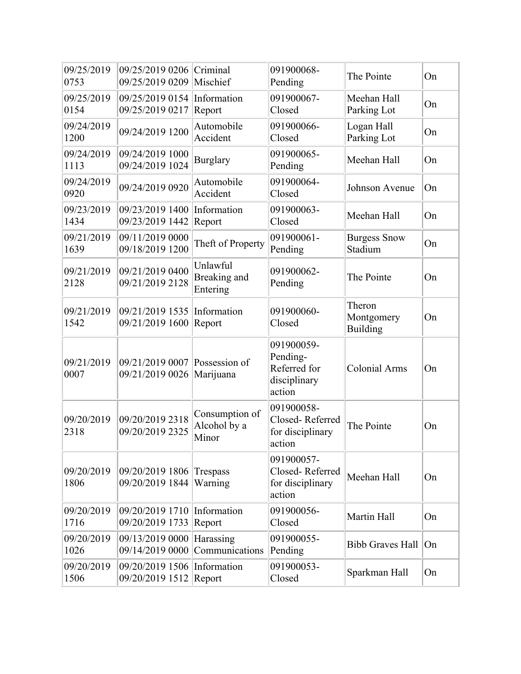| 09/25/2019<br>0753 | 09/25/2019 0206<br>09/25/2019 0209 | Criminal<br>Mischief                    | 091900068-<br>Pending                                            | The Pointe                       | On |
|--------------------|------------------------------------|-----------------------------------------|------------------------------------------------------------------|----------------------------------|----|
| 09/25/2019<br>0154 | 09/25/2019 0154<br>09/25/2019 0217 | Information<br>Report                   | 091900067-<br>Closed                                             | Meehan Hall<br>Parking Lot       | On |
| 09/24/2019<br>1200 | 09/24/2019 1200                    | Automobile<br>Accident                  | 091900066-<br>Closed                                             | Logan Hall<br>Parking Lot        | On |
| 09/24/2019<br>1113 | 09/24/2019 1000<br>09/24/2019 1024 | <b>Burglary</b>                         | 091900065-<br>Pending                                            | Meehan Hall                      | On |
| 09/24/2019<br>0920 | 09/24/2019 0920                    | Automobile<br>Accident                  | 091900064-<br>Closed                                             | Johnson Avenue                   | On |
| 09/23/2019<br>1434 | 09/23/2019 1400<br>09/23/2019 1442 | Information<br>Report                   | 091900063-<br>Closed                                             | Meehan Hall                      | On |
| 09/21/2019<br>1639 | 09/11/2019 0000<br>09/18/2019 1200 | Theft of Property                       | 091900061-<br>Pending                                            | <b>Burgess Snow</b><br>Stadium   | On |
| 09/21/2019<br>2128 | 09/21/2019 0400<br>09/21/2019 2128 | Unlawful<br>Breaking and<br>Entering    | 091900062-<br>Pending                                            | The Pointe                       | On |
| 09/21/2019<br>1542 | 09/21/2019 1535<br>09/21/2019 1600 | Information<br>Report                   | 091900060-<br>Closed                                             | Theron<br>Montgomery<br>Building | On |
| 09/21/2019<br>0007 | 09/21/2019 0007<br>09/21/2019 0026 | Possession of<br>Marijuana              | 091900059-<br>Pending-<br>Referred for<br>disciplinary<br>action | <b>Colonial Arms</b>             | On |
| 09/20/2019<br>2318 | 09/20/2019 2318<br>09/20/2019 2325 | Consumption of<br>Alcohol by a<br>Minor | 091900058-<br>Closed-Referred<br>for disciplinary<br>action      | The Pointe                       | On |
| 09/20/2019<br>1806 | 09/20/2019 1806<br>09/20/2019 1844 | Trespass<br>Warning                     | 091900057-<br>Closed-Referred<br>for disciplinary<br>action      | Meehan Hall                      | On |
| 09/20/2019<br>1716 | 09/20/2019 1710<br>09/20/2019 1733 | Information<br>Report                   | 091900056-<br>Closed                                             | Martin Hall                      | On |
| 09/20/2019<br>1026 | 09/13/2019 0000<br>09/14/2019 0000 | Harassing<br>Communications             | 091900055-<br>Pending                                            | <b>Bibb Graves Hall</b>          | On |
| 09/20/2019<br>1506 | 09/20/2019 1506<br>09/20/2019 1512 | Information<br>Report                   | 091900053-<br>Closed                                             | Sparkman Hall                    | On |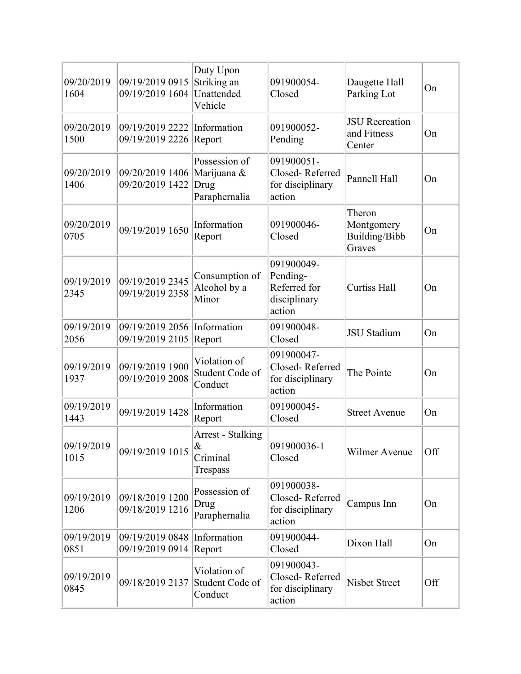| 09/20/2019<br>1604 | 09/19/2019 0915<br>09/19/2019 1604 | Duty Upon<br>Striking an<br>Unattended<br>Vehicle     | 091900054-<br>Closed                                             | Daugette Hall<br>Parking Lot                    | On  |
|--------------------|------------------------------------|-------------------------------------------------------|------------------------------------------------------------------|-------------------------------------------------|-----|
| 09/20/2019<br>1500 | 09/19/2019 2222<br>09/19/2019 2226 | Information<br>Report                                 | 091900052-<br>Pending                                            | <b>JSU</b> Recreation<br>and Fitness<br>Center  | On  |
| 09/20/2019<br>1406 | 09/20/2019 1406<br>09/20/2019 1422 | Possession of<br>Marijuana &<br>Drug<br>Paraphernalia | 091900051-<br>Closed-Referred<br>for disciplinary<br>action      | Pannell Hall                                    | On  |
| 09/20/2019<br>0705 | 09/19/2019 1650                    | Information<br>Report                                 | 091900046-<br>Closed                                             | Theron<br>Montgomery<br>Building/Bibb<br>Graves | On  |
| 09/19/2019<br>2345 | 09/19/2019 2345<br>09/19/2019 2358 | Consumption of<br>Alcohol by a<br>Minor               | 091900049-<br>Pending-<br>Referred for<br>disciplinary<br>action | <b>Curtiss Hall</b>                             | On  |
| 09/19/2019<br>2056 | 09/19/2019 2056<br>09/19/2019 2105 | Information<br>Report                                 | 091900048-<br>Closed                                             | <b>JSU</b> Stadium                              | On  |
| 09/19/2019<br>1937 | 09/19/2019 1900<br>09/19/2019 2008 | Violation of<br>Student Code of<br>Conduct            | 091900047-<br>Closed-Referred<br>for disciplinary<br>action      | The Pointe                                      | On  |
| 09/19/2019<br>1443 | 09/19/2019 1428                    | Information<br>Report                                 | 091900045-<br>Closed                                             | <b>Street Avenue</b>                            | On  |
| 09/19/2019<br>1015 | 09/19/2019 1015                    | <b>Arrest - Stalking</b><br>&<br>Criminal<br>Trespass | 091900036-1<br>Closed                                            | Wilmer Avenue                                   | Off |
| 09/19/2019<br>1206 | 09/18/2019 1200<br>09/18/2019 1216 | Possession of<br>Drug<br>Paraphernalia                | 091900038-<br>Closed-Referred<br>for disciplinary<br>action      | Campus Inn                                      | On  |
| 09/19/2019<br>0851 | 09/19/2019 0848<br>09/19/2019 0914 | Information<br>Report                                 | 091900044-<br>Closed                                             | Dixon Hall                                      | On  |
| 09/19/2019<br>0845 | 09/18/2019 2137                    | Violation of<br>Student Code of<br>Conduct            | 091900043-<br>Closed-Referred<br>for disciplinary<br>action      | <b>Nisbet Street</b>                            | Off |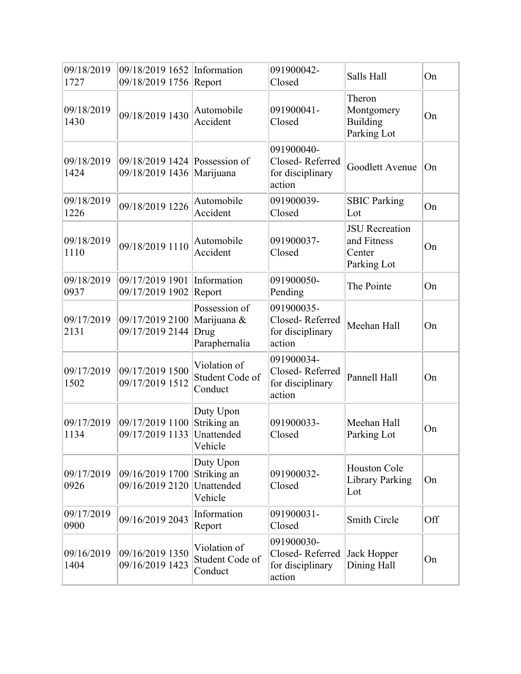| 09/18/2019<br>1727 | 09/18/2019 1652 Information<br>09/18/2019 1756 Report      |                                                       | 091900042-<br>Closed                                        | Salls Hall                                                    | On  |
|--------------------|------------------------------------------------------------|-------------------------------------------------------|-------------------------------------------------------------|---------------------------------------------------------------|-----|
| 09/18/2019<br>1430 | 09/18/2019 1430                                            | Automobile<br>Accident                                | 091900041-<br>Closed                                        | Theron<br>Montgomery<br><b>Building</b><br>Parking Lot        | On  |
| 09/18/2019<br>1424 | 09/18/2019 1424 Possession of<br>09/18/2019 1436 Marijuana |                                                       | 091900040-<br>Closed-Referred<br>for disciplinary<br>action | Goodlett Avenue                                               | On  |
| 09/18/2019<br>1226 | 09/18/2019 1226                                            | Automobile<br>Accident                                | 091900039-<br>Closed                                        | <b>SBIC Parking</b><br>Lot                                    | On  |
| 09/18/2019<br>1110 | 09/18/2019 1110                                            | Automobile<br>Accident                                | 091900037-<br>Closed                                        | <b>JSU</b> Recreation<br>and Fitness<br>Center<br>Parking Lot | On  |
| 09/18/2019<br>0937 | 09/17/2019 1901<br>09/17/2019 1902                         | Information<br>Report                                 | 091900050-<br>Pending                                       | The Pointe                                                    | On  |
| 09/17/2019<br>2131 | 09/17/2019 2100<br>09/17/2019 2144                         | Possession of<br>Marijuana &<br>Drug<br>Paraphernalia | 091900035-<br>Closed-Referred<br>for disciplinary<br>action | Meehan Hall                                                   | On  |
| 09/17/2019<br>1502 | 09/17/2019 1500<br>09/17/2019 1512                         | Violation of<br>Student Code of<br>Conduct            | 091900034-<br>Closed-Referred<br>for disciplinary<br>action | Pannell Hall                                                  | On  |
| 09/17/2019<br>1134 | 09/17/2019 1100<br>09/17/2019 1133                         | Duty Upon<br>Striking an<br>Unattended<br>Vehicle     | 091900033-<br>Closed                                        | Meehan Hall<br>Parking Lot                                    | On  |
| 09/17/2019<br>0926 | 09/16/2019 1700<br>09/16/2019 2120                         | Duty Upon<br>Striking an<br>Unattended<br>Vehicle     | 091900032-<br>Closed                                        | Houston Cole<br>Library Parking<br>Lot                        | On  |
| 09/17/2019<br>0900 | 09/16/2019 2043                                            | Information<br>Report                                 | 091900031-<br>Closed                                        | <b>Smith Circle</b>                                           | Off |
| 09/16/2019<br>1404 | 09/16/2019 1350<br>09/16/2019 1423                         | Violation of<br>Student Code of<br>Conduct            | 091900030-<br>Closed-Referred<br>for disciplinary<br>action | Jack Hopper<br>Dining Hall                                    | On  |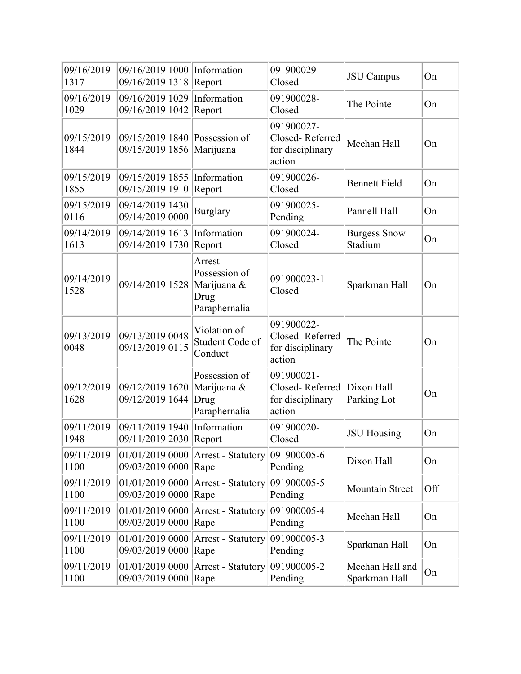| 09/16/2019<br>1317 | 09/16/2019 1000<br>09/16/2019 1318 | Information<br>Report                                            | 091900029-<br>Closed                                        | <b>JSU</b> Campus                | On  |
|--------------------|------------------------------------|------------------------------------------------------------------|-------------------------------------------------------------|----------------------------------|-----|
| 09/16/2019<br>1029 | 09/16/2019 1029<br>09/16/2019 1042 | Information<br>Report                                            | 091900028-<br>Closed                                        | The Pointe                       | On  |
| 09/15/2019<br>1844 | 09/15/2019 1840<br>09/15/2019 1856 | Possession of<br>Marijuana                                       | 091900027-<br>Closed-Referred<br>for disciplinary<br>action | Meehan Hall                      | On  |
| 09/15/2019<br>1855 | 09/15/2019 1855<br>09/15/2019 1910 | Information<br>Report                                            | 091900026-<br>Closed                                        | <b>Bennett Field</b>             | On  |
| 09/15/2019<br>0116 | 09/14/2019 1430<br>09/14/2019 0000 | <b>Burglary</b>                                                  | 091900025-<br>Pending                                       | Pannell Hall                     | On  |
| 09/14/2019<br>1613 | 09/14/2019 1613<br>09/14/2019 1730 | Information<br>Report                                            | 091900024-<br>Closed                                        | <b>Burgess Snow</b><br>Stadium   | On  |
| 09/14/2019<br>1528 | 09/14/2019 1528                    | Arrest-<br>Possession of<br>Marijuana &<br>Drug<br>Paraphernalia | 091900023-1<br>Closed                                       | Sparkman Hall                    | On  |
| 09/13/2019<br>0048 | 09/13/2019 0048<br>09/13/2019 0115 | Violation of<br>Student Code of<br>Conduct                       | 091900022-<br>Closed-Referred<br>for disciplinary<br>action | The Pointe                       | On  |
| 09/12/2019<br>1628 | 09/12/2019 1620<br>09/12/2019 1644 | Possession of<br>Marijuana &<br>Drug<br>Paraphernalia            | 091900021-<br>Closed-Referred<br>for disciplinary<br>action | Dixon Hall<br>Parking Lot        | On  |
| 09/11/2019<br>1948 | 09/11/2019 1940<br>09/11/2019 2030 | Information<br>Report                                            | 091900020-<br>Closed                                        | <b>JSU Housing</b>               | On  |
| 09/11/2019<br>1100 | 01/01/2019 0000<br>09/03/2019 0000 | Arrest - Statutory<br>Rape                                       | 091900005-6<br>Pending                                      | Dixon Hall                       | On  |
| 09/11/2019<br>1100 | 01/01/2019 0000<br>09/03/2019 0000 | Arrest - Statutory<br>Rape                                       | 091900005-5<br>Pending                                      | Mountain Street                  | Off |
| 09/11/2019<br>1100 | 01/01/2019 0000<br>09/03/2019 0000 | Arrest - Statutory<br>Rape                                       | 091900005-4<br>Pending                                      | Meehan Hall                      | On  |
| 09/11/2019<br>1100 | 01/01/2019 0000<br>09/03/2019 0000 | <b>Arrest - Statutory</b><br>Rape                                | 091900005-3<br>Pending                                      | Sparkman Hall                    | On  |
| 09/11/2019<br>1100 | 01/01/2019 0000<br>09/03/2019 0000 | Arrest - Statutory<br>Rape                                       | 091900005-2<br>Pending                                      | Meehan Hall and<br>Sparkman Hall | On  |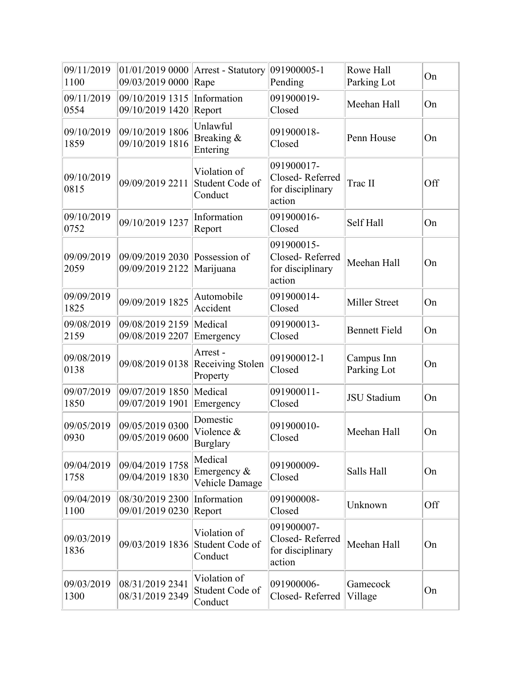| 09/11/2019<br>1100 | 01/01/2019 0000<br>09/03/2019 0000 | <b>Arrest - Statutory</b><br>Rape          | 091900005-1<br>Pending                                      | Rowe Hall<br>Parking Lot  | On  |
|--------------------|------------------------------------|--------------------------------------------|-------------------------------------------------------------|---------------------------|-----|
| 09/11/2019<br>0554 | 09/10/2019 1315<br>09/10/2019 1420 | Information<br>Report                      | 091900019-<br>Closed                                        | Meehan Hall               | On  |
| 09/10/2019<br>1859 | 09/10/2019 1806<br>09/10/2019 1816 | Unlawful<br>Breaking &<br>Entering         | 091900018-<br>Closed                                        | Penn House                | On  |
| 09/10/2019<br>0815 | 09/09/2019 2211                    | Violation of<br>Student Code of<br>Conduct | 091900017-<br>Closed-Referred<br>for disciplinary<br>action | Trac II                   | Off |
| 09/10/2019<br>0752 | 09/10/2019 1237                    | Information<br>Report                      | 091900016-<br>Closed                                        | Self Hall                 | On  |
| 09/09/2019<br>2059 | 09/09/2019 2030<br>09/09/2019 2122 | Possession of<br>Marijuana                 | 091900015-<br>Closed-Referred<br>for disciplinary<br>action | Meehan Hall               | On  |
| 09/09/2019<br>1825 | 09/09/2019 1825                    | Automobile<br>Accident                     | 091900014-<br>Closed                                        | <b>Miller Street</b>      | On  |
| 09/08/2019<br>2159 | 09/08/2019 2159<br>09/08/2019 2207 | Medical<br>Emergency                       | 091900013-<br>Closed                                        | <b>Bennett Field</b>      | On  |
| 09/08/2019<br>0138 | 09/08/2019 0138                    | Arrest-<br>Receiving Stolen<br>Property    | 091900012-1<br>Closed                                       | Campus Inn<br>Parking Lot | On  |
| 09/07/2019<br>1850 | 09/07/2019 1850<br>09/07/2019 1901 | Medical<br>Emergency                       | 091900011-<br>Closed                                        | <b>JSU</b> Stadium        | On  |
| 09/05/2019<br>0930 | 09/05/2019 0300<br>09/05/2019 0600 | Domestic<br>Violence &<br>Burglary         | 091900010-<br>Closed                                        | Meehan Hall               | On  |
| 09/04/2019<br>1758 | 09/04/2019 1758<br>09/04/2019 1830 | Medical<br>Emergency &<br>Vehicle Damage   | 091900009-<br>Closed                                        | Salls Hall                | On  |
| 09/04/2019<br>1100 | 08/30/2019 2300<br>09/01/2019 0230 | Information<br>Report                      | 091900008-<br>Closed                                        | Unknown                   | Off |
| 09/03/2019<br>1836 | 09/03/2019 1836                    | Violation of<br>Student Code of<br>Conduct | 091900007-<br>Closed-Referred<br>for disciplinary<br>action | Meehan Hall               | On  |
| 09/03/2019<br>1300 | 08/31/2019 2341<br>08/31/2019 2349 | Violation of<br>Student Code of<br>Conduct | 091900006-<br>Closed-Referred                               | Gamecock<br>Village       | On  |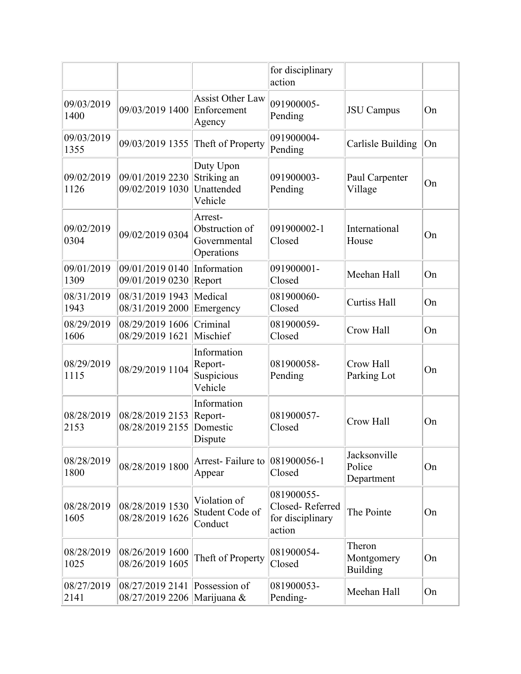|                    |                                                |                                                         | for disciplinary<br>action                                  |                                         |    |
|--------------------|------------------------------------------------|---------------------------------------------------------|-------------------------------------------------------------|-----------------------------------------|----|
| 09/03/2019<br>1400 | 09/03/2019 1400                                | <b>Assist Other Law</b><br>Enforcement<br>Agency        | 091900005-<br>Pending                                       | <b>JSU</b> Campus                       | On |
| 09/03/2019<br>1355 | 09/03/2019 1355                                | Theft of Property                                       | 091900004-<br>Pending                                       | <b>Carlisle Building</b>                | On |
| 09/02/2019<br>1126 | 09/01/2019 2230<br>09/02/2019 1030             | Duty Upon<br>Striking an<br>Unattended<br>Vehicle       | 091900003-<br>Pending                                       | Paul Carpenter<br>Village               | On |
| 09/02/2019<br>0304 | 09/02/2019 0304                                | Arrest-<br>Obstruction of<br>Governmental<br>Operations | 091900002-1<br>Closed                                       | International<br>House                  | On |
| 09/01/2019<br>1309 | 09/01/2019 0140<br>09/01/2019 0230             | Information<br>Report                                   | 091900001-<br>Closed                                        | Meehan Hall                             | On |
| 08/31/2019<br>1943 | 08/31/2019 1943<br>08/31/2019 2000             | Medical<br>Emergency                                    | 081900060-<br>Closed                                        | <b>Curtiss Hall</b>                     | On |
| 08/29/2019<br>1606 | 08/29/2019 1606<br>08/29/2019 1621             | Criminal<br>Mischief                                    | 081900059-<br>Closed                                        | Crow Hall                               | On |
| 08/29/2019<br>1115 | 08/29/2019 1104                                | Information<br>Report-<br>Suspicious<br>Vehicle         | 081900058-<br>Pending                                       | Crow Hall<br>Parking Lot                | On |
| 08/28/2019<br>2153 | 08/28/2019 2153<br>08/28/2019 2155             | Information<br>Report-<br>Domestic<br>Dispute           | 081900057-<br>Closed                                        | Crow Hall                               | On |
| 08/28/2019<br>1800 | 08/28/2019 1800                                | Arrest-Failure to $ 081900056-1$<br>Appear              | Closed                                                      | Jacksonville<br>Police<br>Department    | On |
| 08/28/2019<br>1605 | 08/28/2019 1530<br>08/28/2019 1626             | Violation of<br>Student Code of<br>Conduct              | 081900055-<br>Closed-Referred<br>for disciplinary<br>action | The Pointe                              | On |
| 08/28/2019<br>1025 | 08/26/2019 1600<br>08/26/2019 1605             | Theft of Property                                       | 081900054-<br>Closed                                        | Theron<br>Montgomery<br><b>Building</b> | On |
| 08/27/2019<br>2141 | 08/27/2019 2141<br>08/27/2019 2206 Marijuana & | Possession of                                           | 081900053-<br>Pending-                                      | Meehan Hall                             | On |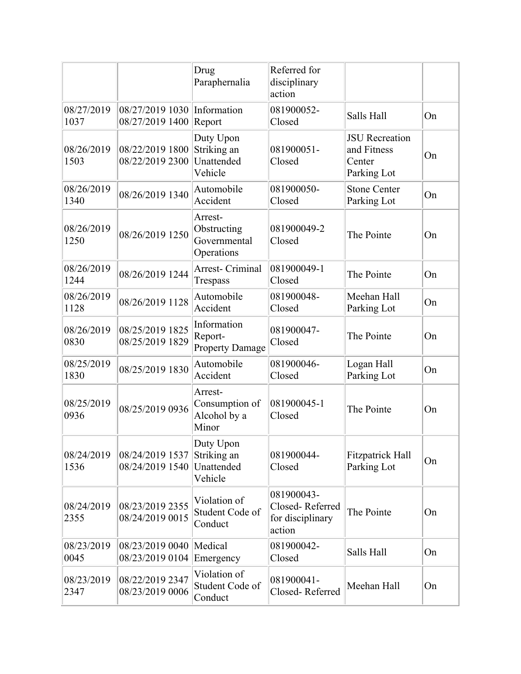|                    |                                    | Drug<br>Paraphernalia                                | Referred for<br>disciplinary<br>action                      |                                                               |    |
|--------------------|------------------------------------|------------------------------------------------------|-------------------------------------------------------------|---------------------------------------------------------------|----|
| 08/27/2019<br>1037 | 08/27/2019 1030<br>08/27/2019 1400 | Information<br>Report                                | 081900052-<br>Closed                                        | Salls Hall                                                    | On |
| 08/26/2019<br>1503 | 08/22/2019 1800<br>08/22/2019 2300 | Duty Upon<br>Striking an<br>Unattended<br>Vehicle    | 081900051-<br>Closed                                        | <b>JSU</b> Recreation<br>and Fitness<br>Center<br>Parking Lot | On |
| 08/26/2019<br>1340 | 08/26/2019 1340                    | Automobile<br>Accident                               | 081900050-<br>Closed                                        | <b>Stone Center</b><br>Parking Lot                            | On |
| 08/26/2019<br>1250 | 08/26/2019 1250                    | Arrest-<br>Obstructing<br>Governmental<br>Operations | 081900049-2<br>Closed                                       | The Pointe                                                    | On |
| 08/26/2019<br>1244 | 08/26/2019 1244                    | Arrest- Criminal<br>Trespass                         | 081900049-1<br>Closed                                       | The Pointe                                                    | On |
| 08/26/2019<br>1128 | 08/26/2019 1128                    | Automobile<br>Accident                               | 081900048-<br>Closed                                        | Meehan Hall<br>Parking Lot                                    | On |
| 08/26/2019<br>0830 | 08/25/2019 1825<br>08/25/2019 1829 | Information<br>Report-<br><b>Property Damage</b>     | 081900047-<br>Closed                                        | The Pointe                                                    | On |
| 08/25/2019<br>1830 | 08/25/2019 1830                    | Automobile<br>Accident                               | 081900046-<br>Closed                                        | Logan Hall<br>Parking Lot                                     | On |
| 08/25/2019<br>0936 | 08/25/2019 0936                    | Arrest-<br>Consumption of<br>Alcohol by a<br>Minor   | 081900045-1<br>Closed                                       | The Pointe                                                    | On |
| 08/24/2019<br>1536 | 08/24/2019 1537<br>08/24/2019 1540 | Duty Upon<br>Striking an<br>Unattended<br>Vehicle    | 081900044-<br>Closed                                        | Fitzpatrick Hall<br>Parking Lot                               | On |
| 08/24/2019<br>2355 | 08/23/2019 2355<br>08/24/2019 0015 | Violation of<br>Student Code of<br>Conduct           | 081900043-<br>Closed-Referred<br>for disciplinary<br>action | The Pointe                                                    | On |
| 08/23/2019<br>0045 | 08/23/2019 0040<br>08/23/2019 0104 | Medical<br>Emergency                                 | 081900042-<br>Closed                                        | Salls Hall                                                    | On |
| 08/23/2019<br>2347 | 08/22/2019 2347<br>08/23/2019 0006 | Violation of<br>Student Code of<br>Conduct           | 081900041-<br>Closed-Referred                               | Meehan Hall                                                   | On |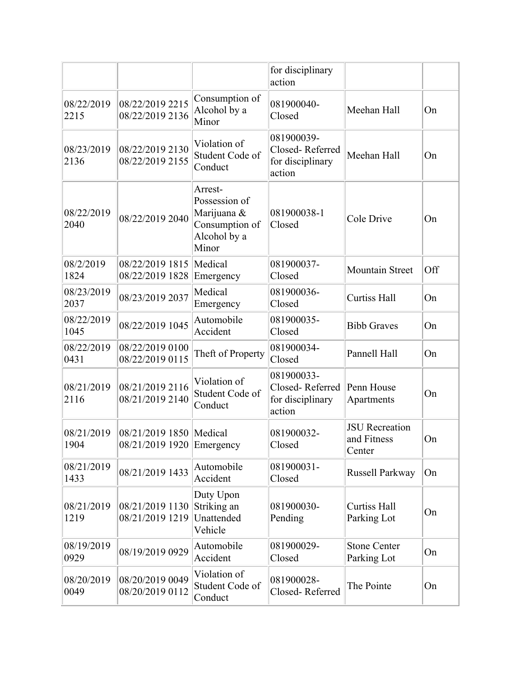|                    |                                                        |                                                                                    | for disciplinary<br>action                                  |                                                |     |
|--------------------|--------------------------------------------------------|------------------------------------------------------------------------------------|-------------------------------------------------------------|------------------------------------------------|-----|
| 08/22/2019<br>2215 | 08/22/2019 2215<br>08/22/2019 2136                     | Consumption of<br>Alcohol by a<br>Minor                                            | 081900040-<br>Closed                                        | Meehan Hall                                    | On  |
| 08/23/2019<br>2136 | 08/22/2019 2130<br>08/22/2019 2155                     | Violation of<br>Student Code of<br>Conduct                                         | 081900039-<br>Closed-Referred<br>for disciplinary<br>action | Meehan Hall                                    | On  |
| 08/22/2019<br>2040 | 08/22/2019 2040                                        | Arrest-<br>Possession of<br>Marijuana &<br>Consumption of<br>Alcohol by a<br>Minor | 081900038-1<br>Closed                                       | Cole Drive                                     | On  |
| 08/2/2019<br>1824  | 08/22/2019 1815<br>08/22/2019 1828                     | Medical<br>Emergency                                                               | 081900037-<br>Closed                                        | <b>Mountain Street</b>                         | Off |
| 08/23/2019<br>2037 | 08/23/2019 2037                                        | Medical<br>Emergency                                                               | 081900036-<br>Closed                                        | <b>Curtiss Hall</b>                            | On  |
| 08/22/2019<br>1045 | 08/22/2019 1045                                        | Automobile<br>Accident                                                             | 081900035-<br>Closed                                        | <b>Bibb Graves</b>                             | On  |
| 08/22/2019<br>0431 | 08/22/2019 0100<br>08/22/2019 0115                     | Theft of Property                                                                  | 081900034-<br>Closed                                        | Pannell Hall                                   | On  |
| 08/21/2019<br>2116 | 08/21/2019 2116<br>08/21/2019 2140                     | Violation of<br>Student Code of<br>Conduct                                         | 081900033-<br>Closed-Referred<br>for disciplinary<br>action | Penn House<br>Apartments                       | On  |
| 08/21/2019<br>1904 | 08/21/2019 1850   Medical<br>08/21/2019 1920 Emergency |                                                                                    | 081900032-<br>Closed                                        | <b>JSU</b> Recreation<br>and Fitness<br>Center | On  |
| 08/21/2019<br>1433 | 08/21/2019 1433                                        | Automobile<br>Accident                                                             | 081900031-<br>Closed                                        | Russell Parkway                                | On  |
| 08/21/2019<br>1219 | 08/21/2019 1130<br>08/21/2019 1219                     | Duty Upon<br>Striking an<br>Unattended<br>Vehicle                                  | 081900030-<br>Pending                                       | <b>Curtiss Hall</b><br>Parking Lot             | On  |
| 08/19/2019<br>0929 | 08/19/2019 0929                                        | Automobile<br>Accident                                                             | 081900029-<br>Closed                                        | <b>Stone Center</b><br>Parking Lot             | On  |
| 08/20/2019<br>0049 | 08/20/2019 0049<br>08/20/2019 0112                     | Violation of<br>Student Code of<br>Conduct                                         | 081900028-<br>Closed-Referred                               | The Pointe                                     | On  |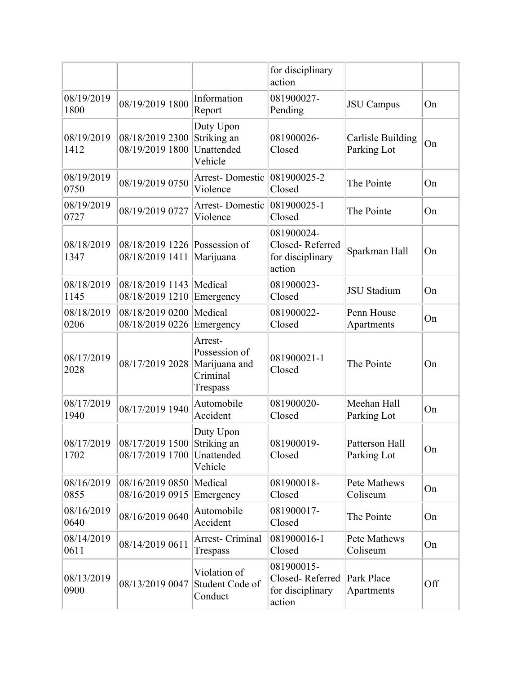|                    |                                     |                                                                   | for disciplinary<br>action                                  |                                  |     |
|--------------------|-------------------------------------|-------------------------------------------------------------------|-------------------------------------------------------------|----------------------------------|-----|
| 08/19/2019<br>1800 | 08/19/2019 1800                     | Information<br>Report                                             | 081900027-<br>Pending                                       | <b>JSU</b> Campus                | On  |
| 08/19/2019<br>1412 | 08/18/2019 2300<br>08/19/2019 1800  | Duty Upon<br>Striking an<br>Unattended<br>Vehicle                 | 081900026-<br>Closed                                        | Carlisle Building<br>Parking Lot | On  |
| 08/19/2019<br>0750 | 08/19/2019 0750                     | <b>Arrest-Domestic</b><br>Violence                                | $ 081900025-2$<br>Closed                                    | The Pointe                       | On  |
| 08/19/2019<br>0727 | 08/19/2019 0727                     | Arrest-Domestic<br>Violence                                       | $ 081900025-1$<br>Closed                                    | The Pointe                       | On  |
| 08/18/2019<br>1347 | 08/18/2019 1226<br>08/18/2019 1411  | Possession of<br>Marijuana                                        | 081900024-<br>Closed-Referred<br>for disciplinary<br>action | Sparkman Hall                    | On  |
| 08/18/2019<br>1145 | 08/18/2019 1143<br>08/18/2019 1210  | Medical<br>Emergency                                              | 081900023-<br>Closed                                        | <b>JSU</b> Stadium               | On  |
| 08/18/2019<br>0206 | 08/18/2019 0200<br>08/18/2019 0226  | Medical<br>Emergency                                              | 081900022-<br>Closed                                        | Penn House<br>Apartments         | On  |
| 08/17/2019<br>2028 | 08/17/2019 2028                     | Arrest-<br>Possession of<br>Marijuana and<br>Criminal<br>Trespass | 081900021-1<br>Closed                                       | The Pointe                       | On  |
| 08/17/2019<br>1940 | 08/17/2019 1940                     | Automobile<br>Accident                                            | 081900020-<br>Closed                                        | Meehan Hall<br>Parking Lot       | On  |
| 08/17/2019<br>1702 | 08/17/2019 1500 <br>08/17/2019 1700 | Duty Upon<br>Striking an<br>Unattended<br>Vehicle                 | 081900019-<br>Closed                                        | Patterson Hall<br>Parking Lot    | On  |
| 08/16/2019<br>0855 | 08/16/2019 0850<br>08/16/2019 0915  | Medical<br>Emergency                                              | 081900018-<br>Closed                                        | <b>Pete Mathews</b><br>Coliseum  | On  |
| 08/16/2019<br>0640 | 08/16/2019 0640                     | Automobile<br>Accident                                            | 081900017-<br>Closed                                        | The Pointe                       | On  |
| 08/14/2019<br>0611 | 08/14/2019 0611                     | Arrest- Criminal<br>Trespass                                      | 081900016-1<br>Closed                                       | Pete Mathews<br>Coliseum         | On  |
| 08/13/2019<br>0900 | 08/13/2019 0047                     | Violation of<br>Student Code of<br>Conduct                        | 081900015-<br>Closed-Referred<br>for disciplinary<br>action | Park Place<br>Apartments         | Off |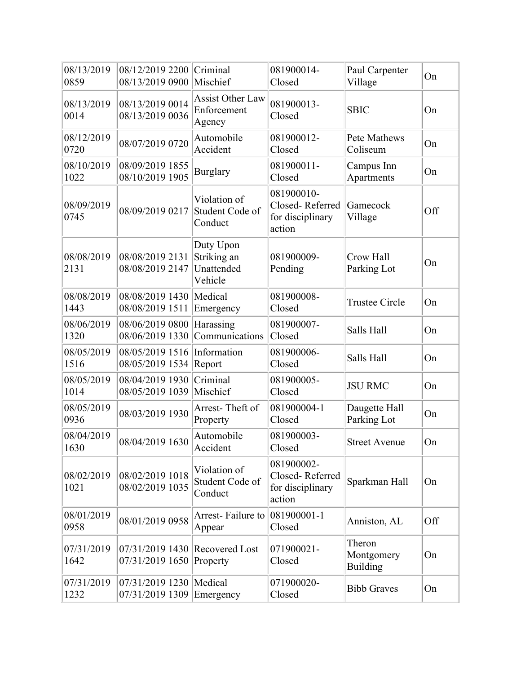| 08/13/2019<br>0859 | 08/12/2019 2200<br>08/13/2019 0900                              | Criminal<br>Mischief                              | 081900014-<br>Closed                                        | Paul Carpenter<br>Village               | On  |
|--------------------|-----------------------------------------------------------------|---------------------------------------------------|-------------------------------------------------------------|-----------------------------------------|-----|
| 08/13/2019<br>0014 | 08/13/2019 0014<br>08/13/2019 0036                              | <b>Assist Other Law</b><br>Enforcement<br>Agency  | 081900013-<br>Closed                                        | <b>SBIC</b>                             | On  |
| 08/12/2019<br>0720 | 08/07/2019 0720                                                 | Automobile<br>Accident                            | 081900012-<br>Closed                                        | Pete Mathews<br>Coliseum                | On  |
| 08/10/2019<br>1022 | 08/09/2019 1855<br>08/10/2019 1905                              | <b>Burglary</b>                                   | 081900011-<br>Closed                                        | Campus Inn<br>Apartments                | On  |
| 08/09/2019<br>0745 | 08/09/2019 0217                                                 | Violation of<br>Student Code of<br>Conduct        | 081900010-<br>Closed-Referred<br>for disciplinary<br>action | Gamecock<br>Village                     | Off |
| 08/08/2019<br>2131 | 08/08/2019 2131<br>08/08/2019 2147                              | Duty Upon<br>Striking an<br>Unattended<br>Vehicle | 081900009-<br>Pending                                       | Crow Hall<br>Parking Lot                | On  |
| 08/08/2019<br>1443 | 08/08/2019 1430<br>08/08/2019 1511                              | Medical<br>Emergency                              | 081900008-<br>Closed                                        | <b>Trustee Circle</b>                   | On  |
| 08/06/2019<br>1320 | 08/06/2019 0800<br>08/06/2019 1330                              | Harassing<br>Communications                       | 081900007-<br>Closed                                        | Salls Hall                              | On  |
| 08/05/2019<br>1516 | 08/05/2019 1516<br>08/05/2019 1534                              | Information<br>Report                             | 081900006-<br>Closed                                        | Salls Hall                              | On  |
| 08/05/2019<br>1014 | 08/04/2019 1930<br>08/05/2019 1039                              | Criminal<br>Mischief                              | 081900005-<br>Closed                                        | <b>JSU RMC</b>                          | On  |
| 08/05/2019<br>0936 | 08/03/2019 1930                                                 | Arrest-Theft of<br>Property                       | 081900004-1<br>Closed                                       | Daugette Hall<br>Parking Lot            | On  |
| 08/04/2019<br>1630 | 08/04/2019 1630                                                 | Automobile<br>Accident                            | 081900003-<br>Closed                                        | <b>Street Avenue</b>                    | On  |
| 08/02/2019<br>1021 | 08/02/2019 1018<br>08/02/2019 1035                              | Violation of<br>Student Code of<br>Conduct        | 081900002-<br>Closed-Referred<br>for disciplinary<br>action | Sparkman Hall                           | On  |
| 08/01/2019<br>0958 | 08/01/2019 0958                                                 | Arrest-Failure to<br>Appear                       | 081900001-1<br>Closed                                       | Anniston, AL                            | Off |
| 07/31/2019<br>1642 | $ 07/31/20191430 $ Recovered Lost<br>$07/31/2019$ 1650 Property |                                                   | 071900021-<br>Closed                                        | Theron<br>Montgomery<br><b>Building</b> | On  |
| 07/31/2019<br>1232 | 07/31/2019 1230   Medical<br>07/31/2019 1309 Emergency          |                                                   | 071900020-<br>Closed                                        | <b>Bibb Graves</b>                      | On  |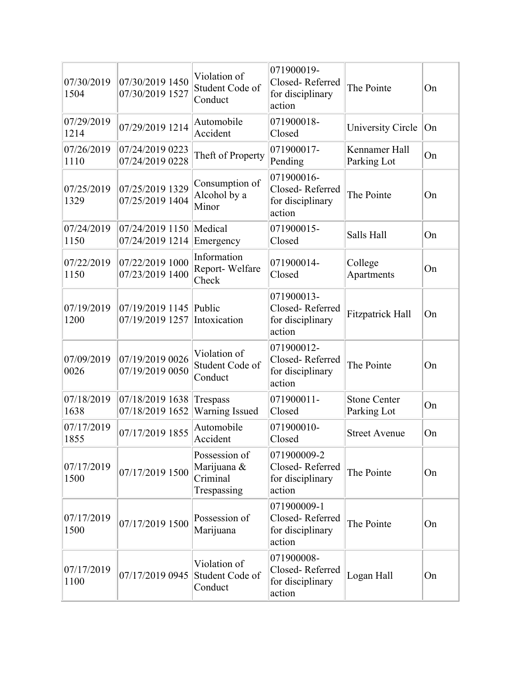| 07/30/2019<br>1504 | 07/30/2019 1450<br>07/30/2019 1527           | Violation of<br>Student Code of<br>Conduct              | 071900019-<br>Closed-Referred<br>for disciplinary<br>action  | The Pointe                         | On |
|--------------------|----------------------------------------------|---------------------------------------------------------|--------------------------------------------------------------|------------------------------------|----|
| 07/29/2019<br>1214 | 07/29/2019 1214                              | Automobile<br>Accident                                  | 071900018-<br>Closed                                         | University Circle                  | On |
| 07/26/2019<br>1110 | 07/24/2019 0223<br>07/24/2019 0228           | Theft of Property                                       | 071900017-<br>Pending                                        | Kennamer Hall<br>Parking Lot       | On |
| 07/25/2019<br>1329 | 07/25/2019 1329<br>07/25/2019 1404           | Consumption of<br>Alcohol by a<br>Minor                 | 071900016-<br>Closed-Referred<br>for disciplinary<br>action  | The Pointe                         | On |
| 07/24/2019<br>1150 | 07/24/2019 1150   Medical<br>07/24/2019 1214 | Emergency                                               | 071900015-<br>Closed                                         | Salls Hall                         | On |
| 07/22/2019<br>1150 | 07/22/2019 1000<br>07/23/2019 1400           | Information<br>Report-Welfare<br>Check                  | 071900014-<br>Closed                                         | College<br>Apartments              | On |
| 07/19/2019<br>1200 | 07/19/2019 1145<br>07/19/2019 1257           | Public<br>Intoxication                                  | 071900013-<br>Closed-Referred<br>for disciplinary<br>action  | Fitzpatrick Hall                   | On |
| 07/09/2019<br>0026 | 07/19/2019 0026<br>07/19/2019 0050           | Violation of<br>Student Code of<br>Conduct              | 071900012-<br>Closed-Referred<br>for disciplinary<br>action  | The Pointe                         | On |
| 07/18/2019<br>1638 | 07/18/2019 1638<br>07/18/2019 1652           | $ T$ respass<br>Warning Issued                          | 071900011-<br>Closed                                         | <b>Stone Center</b><br>Parking Lot | On |
| 07/17/2019<br>1855 | 07/17/2019 1855                              | Automobile<br>Accident                                  | 071900010-<br>Closed                                         | <b>Street Avenue</b>               | On |
| 07/17/2019<br>1500 | 07/17/2019 1500                              | Possession of<br>Marijuana &<br>Criminal<br>Trespassing | 071900009-2<br>Closed-Referred<br>for disciplinary<br>action | The Pointe                         | On |
| 07/17/2019<br>1500 | 07/17/2019 1500                              | Possession of<br>Marijuana                              | 071900009-1<br>Closed-Referred<br>for disciplinary<br>action | The Pointe                         | On |
| 07/17/2019<br>1100 | 07/17/2019 0945                              | Violation of<br>Student Code of<br>Conduct              | 071900008-<br>Closed-Referred<br>for disciplinary<br>action  | Logan Hall                         | On |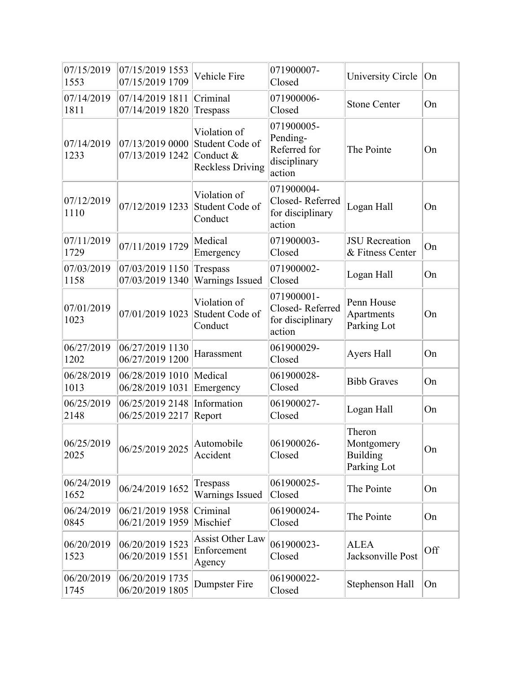| 07/15/2019<br>1553 | 07/15/2019 1553<br>07/15/2019 1709 | Vehicle Fire                                                            | 071900007-<br>Closed                                             | University Circle                                      | On  |
|--------------------|------------------------------------|-------------------------------------------------------------------------|------------------------------------------------------------------|--------------------------------------------------------|-----|
| 07/14/2019<br>1811 | 07/14/2019 1811<br>07/14/2019 1820 | Criminal<br>Trespass                                                    | 071900006-<br>Closed                                             | <b>Stone Center</b>                                    | On  |
| 07/14/2019<br>1233 | 07/13/2019 0000<br>07/13/2019 1242 | Violation of<br>Student Code of<br>Conduct &<br><b>Reckless Driving</b> | 071900005-<br>Pending-<br>Referred for<br>disciplinary<br>action | The Pointe                                             | On  |
| 07/12/2019<br>1110 | 07/12/2019 1233                    | Violation of<br>Student Code of<br>Conduct                              | 071900004-<br>Closed-Referred<br>for disciplinary<br>action      | Logan Hall                                             | On  |
| 07/11/2019<br>1729 | 07/11/2019 1729                    | Medical<br>Emergency                                                    | 071900003-<br>Closed                                             | <b>JSU</b> Recreation<br>& Fitness Center              | On  |
| 07/03/2019<br>1158 | 07/03/2019 1150<br>07/03/2019 1340 | Trespass<br><b>Warnings Issued</b>                                      | 071900002-<br>Closed                                             | Logan Hall                                             | On  |
| 07/01/2019<br>1023 | 07/01/2019 1023                    | Violation of<br>Student Code of<br>Conduct                              | 071900001-<br>Closed-Referred<br>for disciplinary<br>action      | Penn House<br>Apartments<br>Parking Lot                | On  |
| 06/27/2019<br>1202 | 06/27/2019 1130<br>06/27/2019 1200 | Harassment                                                              | 061900029-<br>Closed                                             | Ayers Hall                                             | On  |
| 06/28/2019<br>1013 | 06/28/2019 1010<br>06/28/2019 1031 | Medical<br>Emergency                                                    | 061900028-<br>Closed                                             | <b>Bibb Graves</b>                                     | On  |
| 06/25/2019<br>2148 | 06/25/2019 2148<br>06/25/2019 2217 | Information<br>Report                                                   | 061900027-<br>Closed                                             | Logan Hall                                             | On  |
| 06/25/2019<br>2025 | 06/25/2019 2025                    | Automobile<br>Accident                                                  | 061900026-<br>Closed                                             | Theron<br>Montgomery<br><b>Building</b><br>Parking Lot | On  |
| 06/24/2019<br>1652 | 06/24/2019 1652                    | Trespass<br><b>Warnings Issued</b>                                      | 061900025-<br>Closed                                             | The Pointe                                             | On  |
| 06/24/2019<br>0845 | 06/21/2019 1958<br>06/21/2019 1959 | Criminal<br>Mischief                                                    | 061900024-<br>Closed                                             | The Pointe                                             | On  |
| 06/20/2019<br>1523 | 06/20/2019 1523<br>06/20/2019 1551 | Assist Other Law<br>Enforcement<br>Agency                               | 061900023-<br>Closed                                             | <b>ALEA</b><br>Jacksonville Post                       | Off |
| 06/20/2019<br>1745 | 06/20/2019 1735<br>06/20/2019 1805 | Dumpster Fire                                                           | 061900022-<br>Closed                                             | Stephenson Hall                                        | On  |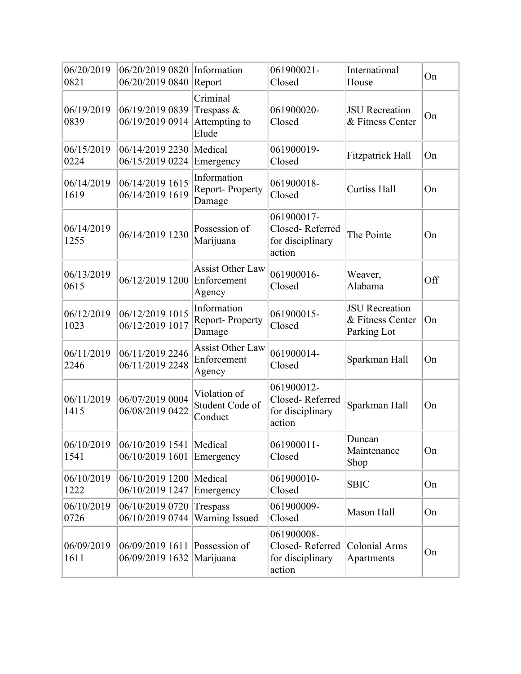| 06/20/2019<br>0821 | 06/20/2019 0820 Information<br>06/20/2019 0840 Report |                                                     | 061900021-<br>Closed                                        | International<br>House                                   | On  |
|--------------------|-------------------------------------------------------|-----------------------------------------------------|-------------------------------------------------------------|----------------------------------------------------------|-----|
| 06/19/2019<br>0839 | 06/19/2019 0839<br>06/19/2019 0914                    | Criminal<br>Trespass $\&$<br>Attempting to<br>Elude | 061900020-<br>Closed                                        | <b>JSU</b> Recreation<br>& Fitness Center                | On  |
| 06/15/2019<br>0224 | 06/14/2019 2230<br>06/15/2019 0224                    | Medical<br>Emergency                                | 061900019-<br>Closed                                        | <b>Fitzpatrick Hall</b>                                  | On  |
| 06/14/2019<br>1619 | 06/14/2019 1615<br>06/14/2019 1619                    | Information<br>Report-Property<br>Damage            | 061900018-<br>Closed                                        | <b>Curtiss Hall</b>                                      | On  |
| 06/14/2019<br>1255 | 06/14/2019 1230                                       | Possession of<br>Marijuana                          | 061900017-<br>Closed-Referred<br>for disciplinary<br>action | The Pointe                                               | On  |
| 06/13/2019<br>0615 | 06/12/2019 1200                                       | <b>Assist Other Law</b><br>Enforcement<br>Agency    | 061900016-<br>Closed                                        | Weaver,<br>Alabama                                       | Off |
| 06/12/2019<br>1023 | 06/12/2019 1015<br>06/12/2019 1017                    | Information<br><b>Report-Property</b><br>Damage     | 061900015-<br>Closed                                        | <b>JSU</b> Recreation<br>& Fitness Center<br>Parking Lot | On  |
| 06/11/2019<br>2246 | 06/11/2019 2246<br>06/11/2019 2248                    | <b>Assist Other Law</b><br>Enforcement<br>Agency    | 061900014-<br>Closed                                        | Sparkman Hall                                            | On  |
| 06/11/2019<br>1415 | 06/07/2019 0004<br>06/08/2019 0422                    | Violation of<br>Student Code of<br>Conduct          | 061900012-<br>Closed-Referred<br>for disciplinary<br>action | Sparkman Hall                                            | On  |
| 1541               | 06/10/2019 06/10/2019 1541 Medical<br>06/10/2019 1601 | Emergency                                           | 061900011-<br>Closed                                        | Duncan<br>Maintenance<br>Shop                            | On  |
| 06/10/2019<br>1222 | 06/10/2019 1200   Medical<br>06/10/2019 1247          | Emergency                                           | 061900010-<br>Closed                                        | <b>SBIC</b>                                              | On  |
| 06/10/2019<br>0726 | 06/10/2019 0720<br>06/10/2019 0744                    | Trespass<br>Warning Issued                          | 061900009-<br>Closed                                        | Mason Hall                                               | On  |
| 06/09/2019<br>1611 | 06/09/2019 1611 Possession of<br>06/09/2019 1632      | Marijuana                                           | 061900008-<br>Closed-Referred<br>for disciplinary<br>action | <b>Colonial Arms</b><br>Apartments                       | On  |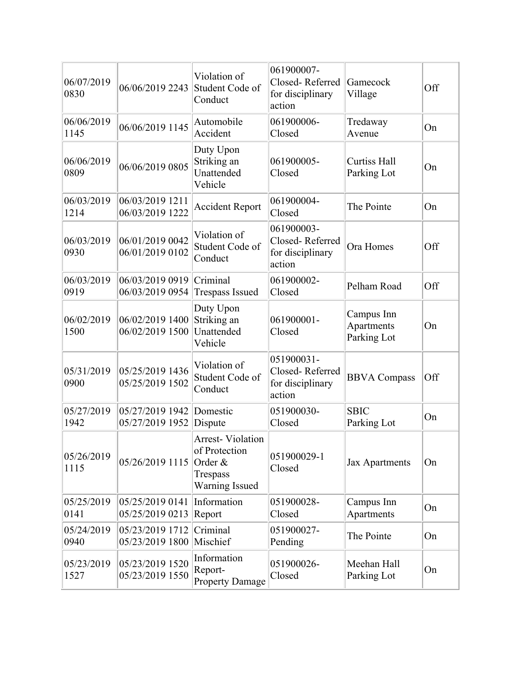| 06/07/2019<br>0830 | 06/06/2019 2243                    | Violation of<br>Student Code of<br>Conduct                                               | 061900007-<br>Closed-Referred<br>for disciplinary<br>action | Gamecock<br>Village                     | Off |
|--------------------|------------------------------------|------------------------------------------------------------------------------------------|-------------------------------------------------------------|-----------------------------------------|-----|
| 06/06/2019<br>1145 | 06/06/2019 1145                    | Automobile<br>Accident                                                                   | 061900006-<br>Closed                                        | Tredaway<br>Avenue                      | On  |
| 06/06/2019<br>0809 | 06/06/2019 0805                    | Duty Upon<br>Striking an<br>Unattended<br>Vehicle                                        | 061900005-<br>Closed                                        | <b>Curtiss Hall</b><br>Parking Lot      | On  |
| 06/03/2019<br>1214 | 06/03/2019 1211<br>06/03/2019 1222 | <b>Accident Report</b>                                                                   | 061900004-<br>Closed                                        | The Pointe                              | On  |
| 06/03/2019<br>0930 | 06/01/2019 0042<br>06/01/2019 0102 | Violation of<br>Student Code of<br>Conduct                                               | 061900003-<br>Closed-Referred<br>for disciplinary<br>action | Ora Homes                               | Off |
| 06/03/2019<br>0919 | 06/03/2019 0919<br>06/03/2019 0954 | Criminal<br><b>Trespass Issued</b>                                                       | 061900002-<br>Closed                                        | Pelham Road                             | Off |
| 06/02/2019<br>1500 | 06/02/2019 1400<br>06/02/2019 1500 | Duty Upon<br>Striking an<br>Unattended<br>Vehicle                                        | 061900001-<br>Closed                                        | Campus Inn<br>Apartments<br>Parking Lot | On  |
| 05/31/2019<br>0900 | 05/25/2019 1436<br>05/25/2019 1502 | Violation of<br>Student Code of<br>Conduct                                               | 051900031-<br>Closed-Referred<br>for disciplinary<br>action | <b>BBVA Compass</b>                     | Off |
| 05/27/2019<br>1942 | 05/27/2019 1942<br>05/27/2019 1952 | Domestic<br>Dispute                                                                      | 051900030-<br>Closed                                        | <b>SBIC</b><br>Parking Lot              | On  |
| 05/26/2019<br>1115 | 05/26/2019 1115                    | <b>Arrest-Violation</b><br>of Protection<br>Order &<br>Trespass<br><b>Warning Issued</b> | 051900029-1<br>Closed                                       | Jax Apartments                          | On  |
| 05/25/2019<br>0141 | 05/25/2019 0141<br>05/25/2019 0213 | Information<br>Report                                                                    | 051900028-<br>Closed                                        | Campus Inn<br>Apartments                | On  |
| 05/24/2019<br>0940 | 05/23/2019 1712<br>05/23/2019 1800 | Criminal<br>Mischief                                                                     | 051900027-<br>Pending                                       | The Pointe                              | On  |
| 05/23/2019<br>1527 | 05/23/2019 1520<br>05/23/2019 1550 | Information<br>Report-<br><b>Property Damage</b>                                         | 051900026-<br>Closed                                        | Meehan Hall<br>Parking Lot              | On  |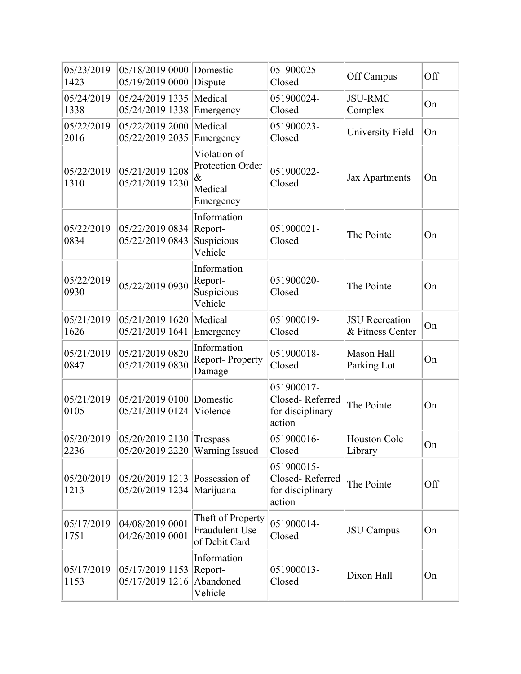| 05/23/2019<br>1423 | 05/18/2019 0000<br>05/19/2019 0000 | Domestic<br>Dispute                                              | 051900025-<br>Closed                                        | Off Campus                                | Off |
|--------------------|------------------------------------|------------------------------------------------------------------|-------------------------------------------------------------|-------------------------------------------|-----|
| 05/24/2019<br>1338 | 05/24/2019 1335<br>05/24/2019 1338 | Medical<br>Emergency                                             | 051900024-<br>Closed                                        | <b>JSU-RMC</b><br>Complex                 | On  |
| 05/22/2019<br>2016 | 05/22/2019 2000<br>05/22/2019 2035 | Medical<br>Emergency                                             | 051900023-<br>Closed                                        | University Field                          | On  |
| 05/22/2019<br>1310 | 05/21/2019 1208<br>05/21/2019 1230 | Violation of<br>Protection Order<br>$\&$<br>Medical<br>Emergency | 051900022-<br>Closed                                        | <b>Jax Apartments</b>                     | On  |
| 05/22/2019<br>0834 | 05/22/2019 0834<br>05/22/2019 0843 | Information<br>Report-<br>Suspicious<br>Vehicle                  | 051900021-<br>Closed                                        | The Pointe                                | On  |
| 05/22/2019<br>0930 | 05/22/2019 0930                    | Information<br>Report-<br>Suspicious<br>Vehicle                  | 051900020-<br>Closed                                        | The Pointe                                | On  |
| 05/21/2019<br>1626 | 05/21/2019 1620<br>05/21/2019 1641 | Medical<br>Emergency                                             | 051900019-<br>Closed                                        | <b>JSU</b> Recreation<br>& Fitness Center | On  |
| 05/21/2019<br>0847 | 05/21/2019 0820<br>05/21/2019 0830 | Information<br><b>Report-Property</b><br>Damage                  | 051900018-<br>Closed                                        | Mason Hall<br>Parking Lot                 | On  |
| 05/21/2019<br>0105 | 05/21/2019 0100<br>05/21/2019 0124 | Domestic<br>Violence                                             | 051900017-<br>Closed-Referred<br>for disciplinary<br>action | The Pointe                                | On  |
| 05/20/2019<br>2236 | 05/20/2019 2130<br>05/20/2019 2220 | Trespass<br><b>Warning Issued</b>                                | 051900016-<br>Closed                                        | Houston Cole<br>Library                   | On  |
| 05/20/2019<br>1213 | 05/20/2019 1213<br>05/20/2019 1234 | Possession of<br>Marijuana                                       | 051900015-<br>Closed-Referred<br>for disciplinary<br>action | The Pointe                                | Off |
| 05/17/2019<br>1751 | 04/08/2019 0001<br>04/26/2019 0001 | Theft of Property<br>Fraudulent Use<br>of Debit Card             | 051900014-<br>Closed                                        | <b>JSU</b> Campus                         | On  |
| 05/17/2019<br>1153 | 05/17/2019 1153<br>05/17/2019 1216 | Information<br>Report-<br>Abandoned<br>Vehicle                   | 051900013-<br>Closed                                        | Dixon Hall                                | On  |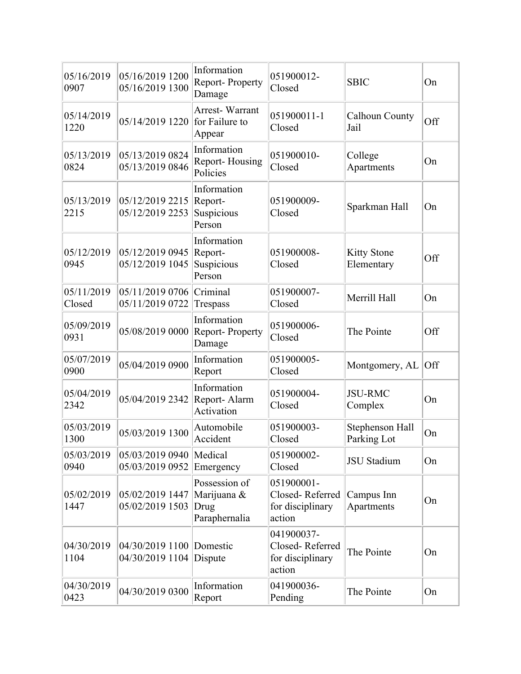| 05/16/2019<br>0907   | 05/16/2019 1200<br>05/16/2019 1300 | Information<br>Report-Property<br>Damage              | 051900012-<br>Closed                                        | <b>SBIC</b>                      | On  |
|----------------------|------------------------------------|-------------------------------------------------------|-------------------------------------------------------------|----------------------------------|-----|
| 05/14/2019<br>1220   | 05/14/2019 1220                    | Arrest-Warrant<br>for Failure to<br>Appear            | 051900011-1<br>Closed                                       | Calhoun County<br>Jail           | Off |
| 05/13/2019<br>0824   | 05/13/2019 0824<br>05/13/2019 0846 | Information<br>Report-Housing<br>Policies             | 051900010-<br>Closed                                        | College<br>Apartments            | On  |
| 05/13/2019<br>2215   | 05/12/2019 2215<br>05/12/2019 2253 | Information<br>Report-<br>Suspicious<br>Person        | 051900009-<br>Closed                                        | Sparkman Hall                    | On  |
| 05/12/2019<br>0945   | 05/12/2019 0945<br>05/12/2019 1045 | Information<br>Report-<br>Suspicious<br>Person        | 051900008-<br>Closed                                        | <b>Kitty Stone</b><br>Elementary | Off |
| 05/11/2019<br>Closed | 05/11/2019 0706<br>05/11/2019 0722 | Criminal<br>Trespass                                  | 051900007-<br>Closed                                        | Merrill Hall                     | On  |
| 05/09/2019<br>0931   | 05/08/2019 0000                    | Information<br>Report-Property<br>Damage              | 051900006-<br>Closed                                        | The Pointe                       | Off |
| 05/07/2019<br>0900   | 05/04/2019 0900                    | Information<br>Report                                 | 051900005-<br>Closed                                        | Montgomery, AL                   | Off |
| 05/04/2019<br>2342   | 05/04/2019 2342                    | Information<br>Report-Alarm<br>Activation             | 051900004-<br>Closed                                        | <b>JSU-RMC</b><br>Complex        | On  |
| 05/03/2019<br>1300   | 05/03/2019 1300                    | Automobile<br>Accident                                | 051900003-<br>Closed                                        | Stephenson Hall<br>Parking Lot   | On  |
| 05/03/2019<br>0940   | 05/03/2019 0940<br>05/03/2019 0952 | Medical<br>Emergency                                  | 051900002-<br>Closed                                        | <b>JSU</b> Stadium               | On  |
| 05/02/2019<br>1447   | 05/02/2019 1447<br>05/02/2019 1503 | Possession of<br>Marijuana &<br>Drug<br>Paraphernalia | 051900001-<br>Closed-Referred<br>for disciplinary<br>action | Campus Inn<br>Apartments         | On  |
| 04/30/2019<br>1104   | 04/30/2019 1100<br>04/30/2019 1104 | Domestic<br>Dispute                                   | 041900037-<br>Closed-Referred<br>for disciplinary<br>action | The Pointe                       | On  |
| 04/30/2019<br>0423   | 04/30/2019 0300                    | Information<br>Report                                 | 041900036-<br>Pending                                       | The Pointe                       | On  |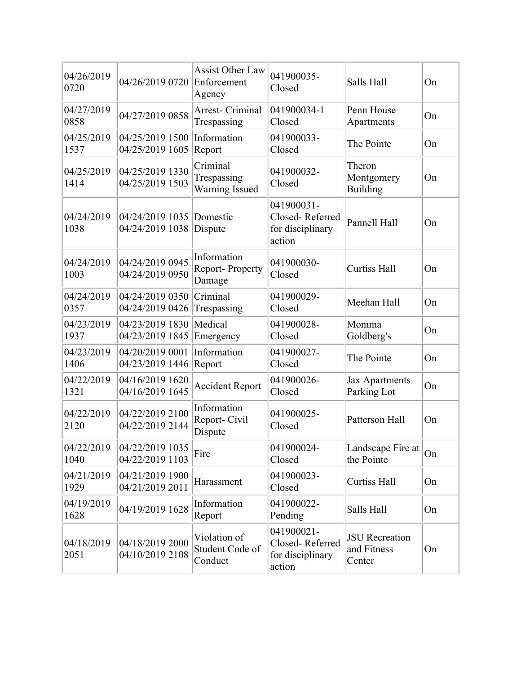| 04/26/2019<br>0720 | 04/26/2019 0720                    | <b>Assist Other Law</b><br>Enforcement<br>Agency | 041900035-<br>Closed                                        | Salls Hall                                     | On |
|--------------------|------------------------------------|--------------------------------------------------|-------------------------------------------------------------|------------------------------------------------|----|
| 04/27/2019<br>0858 | 04/27/2019 0858                    | Arrest- Criminal<br>Trespassing                  | 041900034-1<br>Closed                                       | Penn House<br>Apartments                       | On |
| 04/25/2019<br>1537 | 04/25/2019 1500<br>04/25/2019 1605 | Information<br>Report                            | 041900033-<br>Closed                                        | The Pointe                                     | On |
| 04/25/2019<br>1414 | 04/25/2019 1330<br>04/25/2019 1503 | Criminal<br>Trespassing<br><b>Warning Issued</b> | 041900032-<br>Closed                                        | Theron<br>Montgomery<br>Building               | On |
| 04/24/2019<br>1038 | 04/24/2019 1035<br>04/24/2019 1038 | Domestic<br>Dispute                              | 041900031-<br>Closed-Referred<br>for disciplinary<br>action | Pannell Hall                                   | On |
| 04/24/2019<br>1003 | 04/24/2019 0945<br>04/24/2019 0950 | Information<br><b>Report-Property</b><br>Damage  | 041900030-<br>Closed                                        | <b>Curtiss Hall</b>                            | On |
| 04/24/2019<br>0357 | 04/24/2019 0350<br>04/24/2019 0426 | Criminal<br>Trespassing                          | 041900029-<br>Closed                                        | Meehan Hall                                    | On |
| 04/23/2019<br>1937 | 04/23/2019 1830<br>04/23/2019 1845 | Medical<br>Emergency                             | 041900028-<br>Closed                                        | Momma<br>Goldberg's                            | On |
| 04/23/2019<br>1406 | 04/20/2019 0001<br>04/23/2019 1446 | Information<br>Report                            | 041900027-<br>Closed                                        | The Pointe                                     | On |
| 04/22/2019<br>1321 | 04/16/2019 1620<br>04/16/2019 1645 | <b>Accident Report</b>                           | 041900026-<br>Closed                                        | <b>Jax Apartments</b><br>Parking Lot           | On |
| 04/22/2019<br>2120 | 04/22/2019 2100<br>04/22/2019 2144 | Information<br>Report-Civil<br>Dispute           | 041900025-<br>Closed                                        | Patterson Hall                                 | On |
| 04/22/2019<br>1040 | 04/22/2019 1035<br>04/22/2019 1103 | Fire                                             | 041900024-<br>Closed                                        | Landscape Fire at<br>the Pointe                | On |
| 04/21/2019<br>1929 | 04/21/2019 1900<br>04/21/2019 2011 | Harassment                                       | 041900023-<br>Closed                                        | Curtiss Hall                                   | On |
| 04/19/2019<br>1628 | 04/19/2019 1628                    | Information<br>Report                            | 041900022-<br>Pending                                       | Salls Hall                                     | On |
| 04/18/2019<br>2051 | 04/18/2019 2000<br>04/10/2019 2108 | Violation of<br>Student Code of<br>Conduct       | 041900021-<br>Closed-Referred<br>for disciplinary<br>action | <b>JSU</b> Recreation<br>and Fitness<br>Center | On |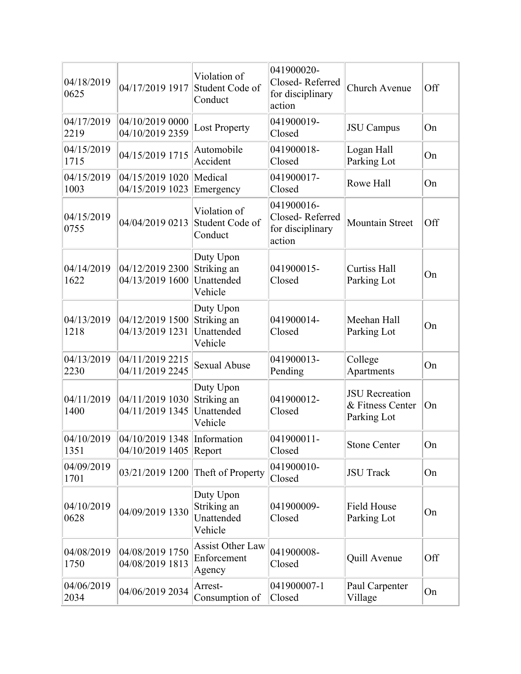| 04/18/2019<br>0625 | 04/17/2019 1917                                | Violation of<br>Student Code of<br>Conduct        | 041900020-<br>Closed-Referred<br>for disciplinary<br>action | Church Avenue                                            | Off |
|--------------------|------------------------------------------------|---------------------------------------------------|-------------------------------------------------------------|----------------------------------------------------------|-----|
| 04/17/2019<br>2219 | 04/10/2019 0000<br>04/10/2019 2359             | <b>Lost Property</b>                              | 041900019-<br>Closed                                        | <b>JSU</b> Campus                                        | On  |
| 04/15/2019<br>1715 | 04/15/2019 1715                                | Automobile<br>Accident                            | 041900018-<br>Closed                                        | Logan Hall<br>Parking Lot                                | On  |
| 04/15/2019<br>1003 | 04/15/2019 1020<br>04/15/2019 1023             | Medical<br>Emergency                              | 041900017-<br>Closed                                        | Rowe Hall                                                | On  |
| 04/15/2019<br>0755 | 04/04/2019 0213                                | Violation of<br>Student Code of<br>Conduct        | 041900016-<br>Closed-Referred<br>for disciplinary<br>action | <b>Mountain Street</b>                                   | Off |
| 04/14/2019<br>1622 | 04/12/2019 2300<br>04/13/2019 1600             | Duty Upon<br>Striking an<br>Unattended<br>Vehicle | 041900015-<br>Closed                                        | <b>Curtiss Hall</b><br>Parking Lot                       | On  |
| 04/13/2019<br>1218 | 04/12/2019 1500<br>04/13/2019 1231             | Duty Upon<br>Striking an<br>Unattended<br>Vehicle | 041900014-<br>Closed                                        | Meehan Hall<br>Parking Lot                               | On  |
| 04/13/2019<br>2230 | 04/11/2019 2215<br>04/11/2019 2245             | <b>Sexual Abuse</b>                               | 041900013-<br>Pending                                       | College<br>Apartments                                    | On  |
| 04/11/2019<br>1400 | 04/11/2019 1030<br>04/11/2019 1345             | Duty Upon<br>Striking an<br>Unattended<br>Vehicle | 041900012-<br>Closed                                        | <b>JSU</b> Recreation<br>& Fitness Center<br>Parking Lot | On  |
| 04/10/2019<br>1351 | 04/10/2019 1348 Information<br>04/10/2019 1405 | Report                                            | 041900011-<br>Closed                                        | <b>Stone Center</b>                                      | On  |
| 04/09/2019<br>1701 | 03/21/2019 1200                                | Theft of Property                                 | 041900010-<br>Closed                                        | <b>JSU</b> Track                                         | On  |
| 04/10/2019<br>0628 | 04/09/2019 1330                                | Duty Upon<br>Striking an<br>Unattended<br>Vehicle | 041900009-<br>Closed                                        | <b>Field House</b><br>Parking Lot                        | On  |
| 04/08/2019<br>1750 | 04/08/2019 1750<br>04/08/2019 1813             | Assist Other Law<br>Enforcement<br>Agency         | 041900008-<br>Closed                                        | Quill Avenue                                             | Off |
| 04/06/2019<br>2034 | 04/06/2019 2034                                | Arrest-<br>Consumption of                         | 041900007-1<br>Closed                                       | Paul Carpenter<br>Village                                | On  |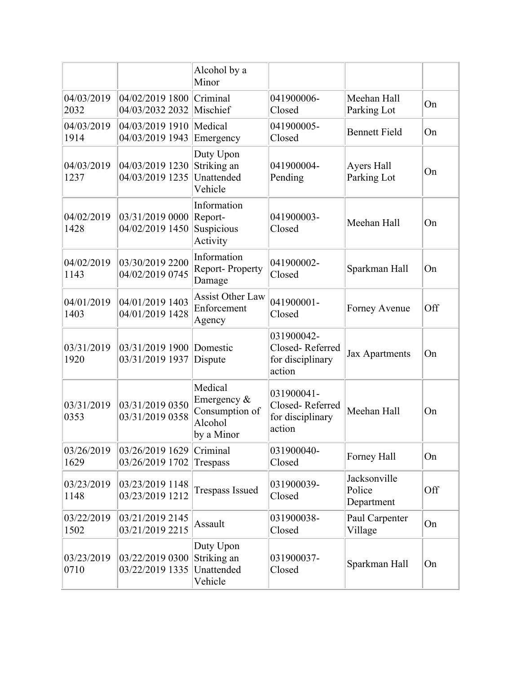|                    |                                    | Alcohol by a<br>Minor                                             |                                                             |                                      |     |
|--------------------|------------------------------------|-------------------------------------------------------------------|-------------------------------------------------------------|--------------------------------------|-----|
| 04/03/2019<br>2032 | 04/02/2019 1800<br>04/03/2032 2032 | Criminal<br>Mischief                                              | 041900006-<br>Closed                                        | Meehan Hall<br>Parking Lot           | On  |
| 04/03/2019<br>1914 | 04/03/2019 1910<br>04/03/2019 1943 | Medical<br>Emergency                                              | 041900005-<br>Closed                                        | <b>Bennett Field</b>                 | On  |
| 04/03/2019<br>1237 | 04/03/2019 1230<br>04/03/2019 1235 | Duty Upon<br>Striking an<br>Unattended<br>Vehicle                 | 041900004-<br>Pending                                       | Ayers Hall<br>Parking Lot            | On  |
| 04/02/2019<br>1428 | 03/31/2019 0000<br>04/02/2019 1450 | Information<br>Report-<br>Suspicious<br>Activity                  | 041900003-<br>Closed                                        | Meehan Hall                          | On  |
| 04/02/2019<br>1143 | 03/30/2019 2200<br>04/02/2019 0745 | Information<br><b>Report-Property</b><br>Damage                   | 041900002-<br>Closed                                        | Sparkman Hall                        | On  |
| 04/01/2019<br>1403 | 04/01/2019 1403<br>04/01/2019 1428 | <b>Assist Other Law</b><br>Enforcement<br>Agency                  | 041900001-<br>Closed                                        | Forney Avenue                        | Off |
| 03/31/2019<br>1920 | 03/31/2019 1900<br>03/31/2019 1937 | Domestic<br>Dispute                                               | 031900042-<br>Closed-Referred<br>for disciplinary<br>action | <b>Jax Apartments</b>                | On  |
| 03/31/2019<br>0353 | 03/31/2019 0350<br>03/31/2019 0358 | Medical<br>Emergency &<br>Consumption of<br>Alcohol<br>by a Minor | 031900041-<br>Closed-Referred<br>for disciplinary<br>action | Meehan Hall                          | On  |
| 03/26/2019<br>1629 | 03/26/2019 1629<br>03/26/2019 1702 | Criminal<br>Trespass                                              | 031900040-<br>Closed                                        | Forney Hall                          | On  |
| 03/23/2019<br>1148 | 03/23/2019 1148<br>03/23/2019 1212 | <b>Trespass Issued</b>                                            | 031900039-<br>Closed                                        | Jacksonville<br>Police<br>Department | Off |
| 03/22/2019<br>1502 | 03/21/2019 2145<br>03/21/2019 2215 | Assault                                                           | 031900038-<br>Closed                                        | Paul Carpenter<br>Village            | On  |
| 03/23/2019<br>0710 | 03/22/2019 0300<br>03/22/2019 1335 | Duty Upon<br>Striking an<br>Unattended<br>Vehicle                 | 031900037-<br>Closed                                        | Sparkman Hall                        | On  |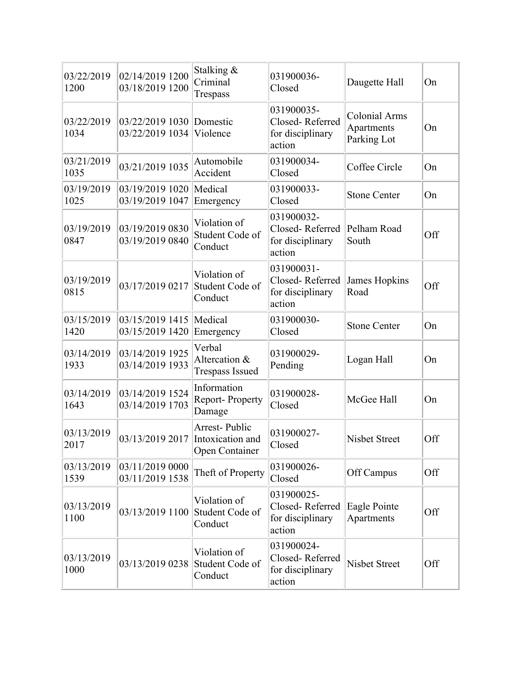| 03/22/2019<br>1200 | 02/14/2019 1200<br>03/18/2019 1200 | Stalking &<br>Criminal<br>Trespass                  | 031900036-<br>Closed                                        | Daugette Hall                                     | On  |
|--------------------|------------------------------------|-----------------------------------------------------|-------------------------------------------------------------|---------------------------------------------------|-----|
| 03/22/2019<br>1034 | 03/22/2019 1030<br>03/22/2019 1034 | Domestic<br>Violence                                | 031900035-<br>Closed-Referred<br>for disciplinary<br>action | <b>Colonial Arms</b><br>Apartments<br>Parking Lot | On  |
| 03/21/2019<br>1035 | 03/21/2019 1035                    | Automobile<br>Accident                              | 031900034-<br>Closed                                        | Coffee Circle                                     | On  |
| 03/19/2019<br>1025 | 03/19/2019 1020<br>03/19/2019 1047 | Medical<br>Emergency                                | 031900033-<br>Closed                                        | <b>Stone Center</b>                               | On  |
| 03/19/2019<br>0847 | 03/19/2019 0830<br>03/19/2019 0840 | Violation of<br>Student Code of<br>Conduct          | 031900032-<br>Closed-Referred<br>for disciplinary<br>action | Pelham Road<br>South                              | Off |
| 03/19/2019<br>0815 | 03/17/2019 0217                    | Violation of<br>Student Code of<br>Conduct          | 031900031-<br>Closed-Referred<br>for disciplinary<br>action | James Hopkins<br>Road                             | Off |
| 03/15/2019<br>1420 | 03/15/2019 1415<br>03/15/2019 1420 | Medical<br>Emergency                                | 031900030-<br>Closed                                        | <b>Stone Center</b>                               | On  |
| 03/14/2019<br>1933 | 03/14/2019 1925<br>03/14/2019 1933 | Verbal<br>Altercation &<br><b>Trespass Issued</b>   | 031900029-<br>Pending                                       | Logan Hall                                        | On  |
| 03/14/2019<br>1643 | 03/14/2019 1524<br>03/14/2019 1703 | Information<br>Report-Property<br>Damage            | 031900028-<br>Closed                                        | McGee Hall                                        | On  |
| 03/13/2019<br>2017 | 03/13/2019 2017                    | Arrest-Public<br>Intoxication and<br>Open Container | 031900027-<br>Closed                                        | <b>Nisbet Street</b>                              | Off |
| 03/13/2019<br>1539 | 03/11/2019 0000<br>03/11/2019 1538 | Theft of Property                                   | 031900026-<br>Closed                                        | Off Campus                                        | Off |
| 03/13/2019<br>1100 | 03/13/2019 1100                    | Violation of<br>Student Code of<br>Conduct          | 031900025-<br>Closed-Referred<br>for disciplinary<br>action | Eagle Pointe<br>Apartments                        | Off |
| 03/13/2019<br>1000 | 03/13/2019 0238                    | Violation of<br>Student Code of<br>Conduct          | 031900024-<br>Closed-Referred<br>for disciplinary<br>action | <b>Nisbet Street</b>                              | Off |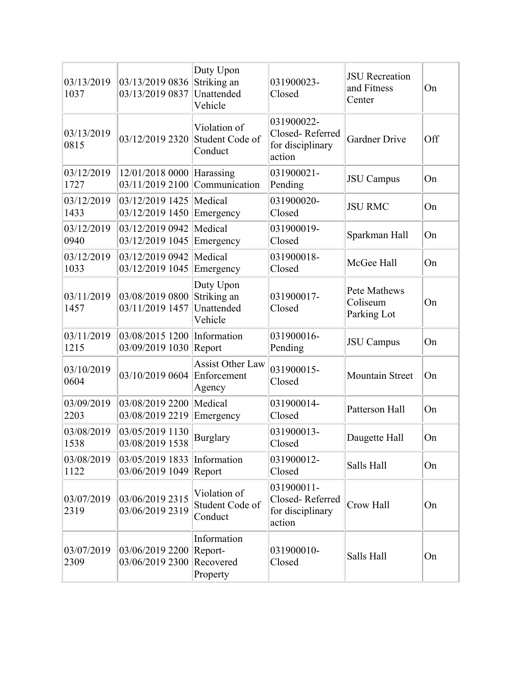| 03/13/2019<br>1037 | 03/13/2019 0836<br>03/13/2019 0837 | Duty Upon<br>Striking an<br>Unattended<br>Vehicle | 031900023-<br>Closed                                        | <b>JSU</b> Recreation<br>and Fitness<br>Center | On  |
|--------------------|------------------------------------|---------------------------------------------------|-------------------------------------------------------------|------------------------------------------------|-----|
| 03/13/2019<br>0815 | 03/12/2019 2320                    | Violation of<br>Student Code of<br>Conduct        | 031900022-<br>Closed-Referred<br>for disciplinary<br>action | <b>Gardner Drive</b>                           | Off |
| 03/12/2019<br>1727 | 12/01/2018 0000<br>03/11/2019 2100 | Harassing<br>Communication                        | 031900021-<br>Pending                                       | <b>JSU</b> Campus                              | On  |
| 03/12/2019<br>1433 | 03/12/2019 1425<br>03/12/2019 1450 | Medical<br>Emergency                              | 031900020-<br>Closed                                        | <b>JSU RMC</b>                                 | On  |
| 03/12/2019<br>0940 | 03/12/2019 0942<br>03/12/2019 1045 | Medical<br>Emergency                              | 031900019-<br>Closed                                        | Sparkman Hall                                  | On  |
| 03/12/2019<br>1033 | 03/12/2019 0942<br>03/12/2019 1045 | Medical<br>Emergency                              | 031900018-<br>Closed                                        | McGee Hall                                     | On  |
| 03/11/2019<br>1457 | 03/08/2019 0800<br>03/11/2019 1457 | Duty Upon<br>Striking an<br>Unattended<br>Vehicle | 031900017-<br>Closed                                        | Pete Mathews<br>Coliseum<br>Parking Lot        | On  |
| 03/11/2019<br>1215 | 03/08/2015 1200<br>03/09/2019 1030 | Information<br>Report                             | 031900016-<br>Pending                                       | <b>JSU</b> Campus                              | On  |
| 03/10/2019<br>0604 | 03/10/2019 0604                    | <b>Assist Other Law</b><br>Enforcement<br>Agency  | 031900015-<br>Closed                                        | Mountain Street                                | On  |
| 03/09/2019<br>2203 | 03/08/2019 2200<br>03/08/2019 2219 | Medical<br>Emergency                              | 031900014-<br>Closed                                        | Patterson Hall                                 | On  |
| 03/08/2019<br>1538 | 03/05/2019 1130<br>03/08/2019 1538 | <b>Burglary</b>                                   | 031900013-<br>Closed                                        | Daugette Hall                                  | On  |
| 03/08/2019<br>1122 | 03/05/2019 1833<br>03/06/2019 1049 | Information<br>Report                             | 031900012-<br>Closed                                        | Salls Hall                                     | On  |
| 03/07/2019<br>2319 | 03/06/2019 2315<br>03/06/2019 2319 | Violation of<br>Student Code of<br>Conduct        | 031900011-<br>Closed-Referred<br>for disciplinary<br>action | Crow Hall                                      | On  |
| 03/07/2019<br>2309 | 03/06/2019 2200<br>03/06/2019 2300 | Information<br>Report-<br>Recovered<br>Property   | 031900010-<br>Closed                                        | Salls Hall                                     | On  |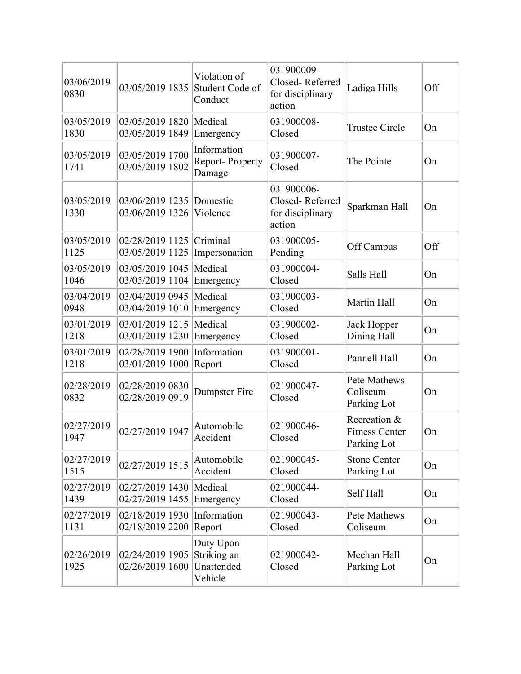| 03/06/2019<br>0830 | 03/05/2019 1835                    | Violation of<br>Student Code of<br>Conduct        | 031900009-<br>Closed-Referred<br>for disciplinary<br>action | Ladiga Hills                                         | Off |
|--------------------|------------------------------------|---------------------------------------------------|-------------------------------------------------------------|------------------------------------------------------|-----|
| 03/05/2019<br>1830 | 03/05/2019 1820<br>03/05/2019 1849 | Medical<br>Emergency                              | 031900008-<br>Closed                                        | <b>Trustee Circle</b>                                | On  |
| 03/05/2019<br>1741 | 03/05/2019 1700<br>03/05/2019 1802 | Information<br>Report-Property<br>Damage          | 031900007-<br>Closed                                        | The Pointe                                           | On  |
| 03/05/2019<br>1330 | 03/06/2019 1235<br>03/06/2019 1326 | Domestic<br>Violence                              | 031900006-<br>Closed-Referred<br>for disciplinary<br>action | Sparkman Hall                                        | On  |
| 03/05/2019<br>1125 | 02/28/2019 1125<br>03/05/2019 1125 | Criminal<br>Impersonation                         | 031900005-<br>Pending                                       | Off Campus                                           | Off |
| 03/05/2019<br>1046 | 03/05/2019 1045<br>03/05/2019 1104 | Medical<br>Emergency                              | 031900004-<br>Closed                                        | Salls Hall                                           | On  |
| 03/04/2019<br>0948 | 03/04/2019 0945<br>03/04/2019 1010 | Medical<br>Emergency                              | 031900003-<br>Closed                                        | Martin Hall                                          | On  |
| 03/01/2019<br>1218 | 03/01/2019 1215<br>03/01/2019 1230 | Medical<br>Emergency                              | 031900002-<br>Closed                                        | Jack Hopper<br>Dining Hall                           | On  |
| 03/01/2019<br>1218 | 02/28/2019 1900<br>03/01/2019 1000 | Information<br>Report                             | 031900001-<br>Closed                                        | Pannell Hall                                         | On  |
| 02/28/2019<br>0832 | 02/28/2019 0830<br>02/28/2019 0919 | Dumpster Fire                                     | 021900047-<br>Closed                                        | Pete Mathews<br>Coliseum<br>Parking Lot              | On  |
| 02/27/2019<br>1947 | 02/27/2019 1947                    | Automobile<br>Accident                            | 021900046-<br>Closed                                        | Recreation &<br><b>Fitness Center</b><br>Parking Lot | On  |
| 02/27/2019<br>1515 | 02/27/2019 1515                    | Automobile<br>Accident                            | 021900045-<br>Closed                                        | <b>Stone Center</b><br>Parking Lot                   | On  |
| 02/27/2019<br>1439 | 02/27/2019 1430<br>02/27/2019 1455 | Medical<br>Emergency                              | 021900044-<br>Closed                                        | Self Hall                                            | On  |
| 02/27/2019<br>1131 | 02/18/2019 1930<br>02/18/2019 2200 | Information<br>Report                             | 021900043-<br>Closed                                        | <b>Pete Mathews</b><br>Coliseum                      | On  |
| 02/26/2019<br>1925 | 02/24/2019 1905<br>02/26/2019 1600 | Duty Upon<br>Striking an<br>Unattended<br>Vehicle | 021900042-<br>Closed                                        | Meehan Hall<br>Parking Lot                           | On  |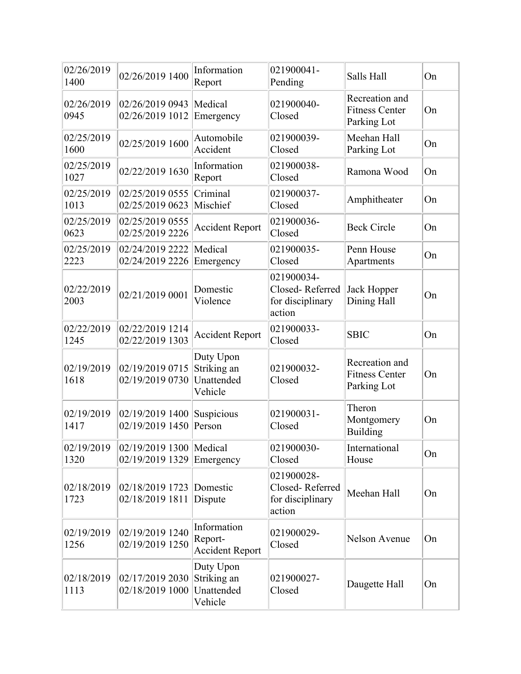| 02/26/2019<br>1400 | 02/26/2019 1400                            | Information<br>Report                             | 021900041-<br>Pending                                       | Salls Hall                                             | On |
|--------------------|--------------------------------------------|---------------------------------------------------|-------------------------------------------------------------|--------------------------------------------------------|----|
| 02/26/2019<br>0945 | 02/26/2019 0943<br>02/26/2019 1012         | Medical<br>Emergency                              | 021900040-<br>Closed                                        | Recreation and<br><b>Fitness Center</b><br>Parking Lot | On |
| 02/25/2019<br>1600 | 02/25/2019 1600                            | Automobile<br>Accident                            | 021900039-<br>Closed                                        | Meehan Hall<br>Parking Lot                             | On |
| 02/25/2019<br>1027 | 02/22/2019 1630                            | Information<br>Report                             | 021900038-<br>Closed                                        | Ramona Wood                                            | On |
| 02/25/2019<br>1013 | 02/25/2019 0555<br>02/25/2019 0623         | Criminal<br>Mischief                              | 021900037-<br>Closed                                        | Amphitheater                                           | On |
| 02/25/2019<br>0623 | 02/25/2019 0555<br>02/25/2019 2226         | <b>Accident Report</b>                            | 021900036-<br>Closed                                        | <b>Beck Circle</b>                                     | On |
| 02/25/2019<br>2223 | 02/24/2019 2222<br>02/24/2019 2226         | Medical<br>Emergency                              | 021900035-<br>Closed                                        | Penn House<br>Apartments                               | On |
| 02/22/2019<br>2003 | 02/21/2019 0001                            | Domestic<br>Violence                              | 021900034-<br>Closed-Referred<br>for disciplinary<br>action | Jack Hopper<br>Dining Hall                             | On |
| 02/22/2019<br>1245 | 02/22/2019 1214<br>02/22/2019 1303         | <b>Accident Report</b>                            | 021900033-<br>Closed                                        | <b>SBIC</b>                                            | On |
| 02/19/2019<br>1618 | 02/19/2019 0715<br>02/19/2019 0730         | Duty Upon<br>Striking an<br>Unattended<br>Vehicle | 021900032-<br>Closed                                        | Recreation and<br><b>Fitness Center</b><br>Parking Lot | On |
| 02/19/2019<br>1417 | 02/19/2019 1400<br>02/19/2019 1450         | Suspicious<br>Person                              | 021900031-<br>Closed                                        | Theron<br>Montgomery<br>Building                       | On |
| 02/19/2019<br>1320 | 02/19/2019 1300 Medical<br>02/19/2019 1329 | Emergency                                         | 021900030-<br>Closed                                        | International<br>House                                 | On |
| 02/18/2019<br>1723 | 02/18/2019 1723<br>02/18/2019 1811         | Domestic<br>Dispute                               | 021900028-<br>Closed-Referred<br>for disciplinary<br>action | Meehan Hall                                            | On |
| 02/19/2019<br>1256 | 02/19/2019 1240<br>02/19/2019 1250         | Information<br>Report-<br><b>Accident Report</b>  | 021900029-<br>Closed                                        | Nelson Avenue                                          | On |
| 02/18/2019<br>1113 | 02/17/2019 2030<br>02/18/2019 1000         | Duty Upon<br>Striking an<br>Unattended<br>Vehicle | 021900027-<br>Closed                                        | Daugette Hall                                          | On |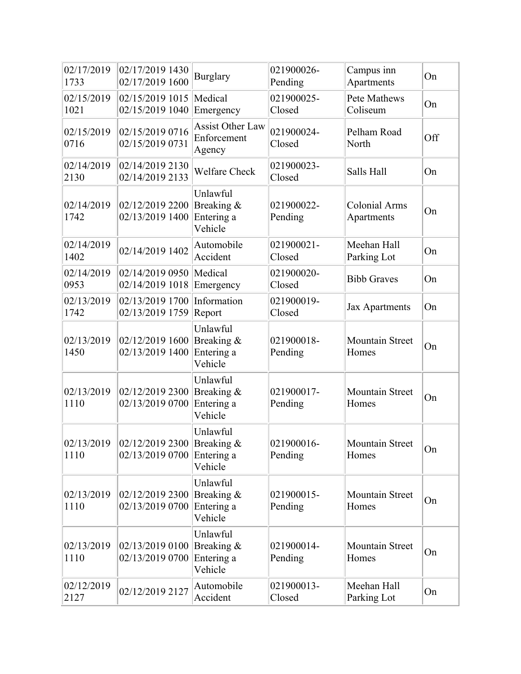| 02/17/2019<br>1733 | 02/17/2019 1430<br>02/17/2019 1600            | <b>Burglary</b>                                  | 021900026-<br>Pending | Campus inn<br>Apartments           | On  |
|--------------------|-----------------------------------------------|--------------------------------------------------|-----------------------|------------------------------------|-----|
| 02/15/2019<br>1021 | 02/15/2019 1015<br>02/15/2019 1040            | Medical<br>Emergency                             | 021900025-<br>Closed  | Pete Mathews<br>Coliseum           | On  |
| 02/15/2019<br>0716 | 02/15/2019 0716<br>02/15/2019 0731            | <b>Assist Other Law</b><br>Enforcement<br>Agency | 021900024-<br>Closed  | Pelham Road<br>North               | Off |
| 02/14/2019<br>2130 | 02/14/2019 2130<br>02/14/2019 2133            | <b>Welfare Check</b>                             | 021900023-<br>Closed  | Salls Hall                         | On  |
| 02/14/2019<br>1742 | 02/12/2019 2200<br>02/13/2019 1400            | Unlawful<br>Breaking &<br>Entering a<br>Vehicle  | 021900022-<br>Pending | <b>Colonial Arms</b><br>Apartments | On  |
| 02/14/2019<br>1402 | 02/14/2019 1402                               | Automobile<br>Accident                           | 021900021-<br>Closed  | Meehan Hall<br>Parking Lot         | On  |
| 02/14/2019<br>0953 | 02/14/2019 0950<br>02/14/2019 1018            | Medical<br>Emergency                             | 021900020-<br>Closed  | <b>Bibb Graves</b>                 | On  |
| 02/13/2019<br>1742 | 02/13/2019 1700<br>02/13/2019 1759            | Information<br>Report                            | 021900019-<br>Closed  | <b>Jax Apartments</b>              | On  |
| 02/13/2019<br>1450 | 02/12/2019 1600<br>02/13/2019 1400            | Unlawful<br>Breaking &<br>Entering a<br>Vehicle  | 021900018-<br>Pending | Mountain Street<br>Homes           | On  |
| 02/13/2019<br>1110 | 02/12/2019 2300<br>02/13/2019 0700            | Unlawful<br>Breaking &<br>Entering a<br>Vehicle  | 021900017-<br>Pending | Mountain Street<br>Homes           | On  |
| 1110               | 02/13/2019 02/12/2019 2300<br>02/13/2019 0700 | Unlawful<br>Breaking &<br>Entering a<br>Vehicle  | 021900016-<br>Pending | Mountain Street<br>Homes           | On  |
| 02/13/2019<br>1110 | 02/12/2019 2300<br>02/13/2019 0700            | Unlawful<br>Breaking &<br>Entering a<br>Vehicle  | 021900015-<br>Pending | Mountain Street<br>Homes           | On  |
| 02/13/2019<br>1110 | 02/13/2019 0100<br>02/13/2019 0700            | Unlawful<br>Breaking &<br>Entering a<br>Vehicle  | 021900014-<br>Pending | Mountain Street<br>Homes           | On  |
| 02/12/2019<br>2127 | 02/12/2019 2127                               | Automobile<br>Accident                           | 021900013-<br>Closed  | Meehan Hall<br>Parking Lot         | On  |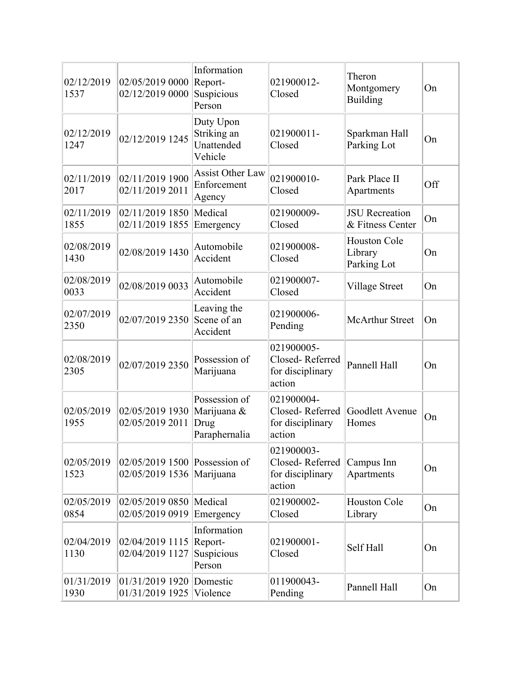| 02/12/2019<br>1537 | 02/05/2019 0000<br>02/12/2019 0000                 | Information<br>Report-<br>Suspicious<br>Person        | 021900012-<br>Closed                                        | Theron<br>Montgomery<br>Building              | On  |
|--------------------|----------------------------------------------------|-------------------------------------------------------|-------------------------------------------------------------|-----------------------------------------------|-----|
| 02/12/2019<br>1247 | 02/12/2019 1245                                    | Duty Upon<br>Striking an<br>Unattended<br>Vehicle     | 021900011-<br>Closed                                        | Sparkman Hall<br>Parking Lot                  | On  |
| 02/11/2019<br>2017 | 02/11/2019 1900<br>02/11/2019 2011                 | <b>Assist Other Law</b><br>Enforcement<br>Agency      | 021900010-<br>Closed                                        | Park Place II<br>Apartments                   | Off |
| 02/11/2019<br>1855 | 02/11/2019 1850<br>02/11/2019 1855                 | Medical<br>Emergency                                  | 021900009-<br>Closed                                        | <b>JSU</b> Recreation<br>& Fitness Center     | On  |
| 02/08/2019<br>1430 | 02/08/2019 1430                                    | Automobile<br>Accident                                | 021900008-<br>Closed                                        | <b>Houston Cole</b><br>Library<br>Parking Lot | On  |
| 02/08/2019<br>0033 | 02/08/2019 0033                                    | Automobile<br>Accident                                | 021900007-<br>Closed                                        | Village Street                                | On  |
| 02/07/2019<br>2350 | 02/07/2019 2350                                    | Leaving the<br>Scene of an<br>Accident                | 021900006-<br>Pending                                       | <b>McArthur Street</b>                        | On  |
| 02/08/2019<br>2305 | 02/07/2019 2350                                    | Possession of<br>Marijuana                            | 021900005-<br>Closed-Referred<br>for disciplinary<br>action | Pannell Hall                                  | On  |
| 02/05/2019<br>1955 | 02/05/2019 1930<br>02/05/2019 2011                 | Possession of<br>Marijuana &<br>Drug<br>Paraphernalia | 021900004-<br>Closed-Referred<br>for disciplinary<br>action | Goodlett Avenue<br>Homes                      | On  |
| 02/05/2019<br>1523 | $02/05/2019$ 1500 Possession of<br>02/05/2019 1536 | Marijuana                                             | 021900003-<br>Closed-Referred<br>for disciplinary<br>action | Campus Inn<br>Apartments                      | On  |
| 02/05/2019<br>0854 | 02/05/2019 0850<br>02/05/2019 0919                 | Medical<br>Emergency                                  | 021900002-<br>Closed                                        | <b>Houston Cole</b><br>Library                | On  |
| 02/04/2019<br>1130 | 02/04/2019 1115<br>02/04/2019 1127                 | Information<br>Report-<br>Suspicious<br>Person        | 021900001-<br>Closed                                        | Self Hall                                     | On  |
| 01/31/2019<br>1930 | 01/31/2019 1920<br>01/31/2019 1925                 | Domestic<br>Violence                                  | 011900043-<br>Pending                                       | Pannell Hall                                  | On  |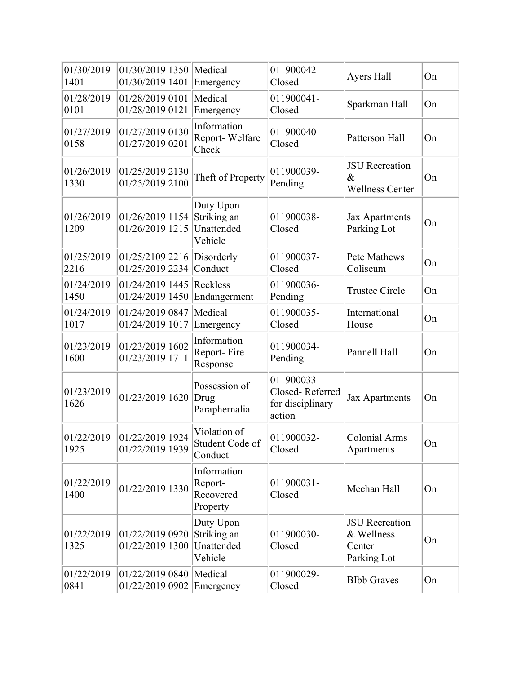| 01/30/2019<br>1401 | 01/30/2019 1350<br>01/30/2019 1401 | Medical<br>Emergency                              | 011900042-<br>Closed                                        | Ayers Hall                                                   | On |
|--------------------|------------------------------------|---------------------------------------------------|-------------------------------------------------------------|--------------------------------------------------------------|----|
| 01/28/2019<br>0101 | 01/28/2019 0101<br>01/28/2019 0121 | Medical<br>Emergency                              | 011900041-<br>Closed                                        | Sparkman Hall                                                | On |
| 01/27/2019<br>0158 | 01/27/2019 0130<br>01/27/2019 0201 | Information<br>Report-Welfare<br>Check            | 011900040-<br>Closed                                        | Patterson Hall                                               | On |
| 01/26/2019<br>1330 | 01/25/2019 2130<br>01/25/2019 2100 | Theft of Property                                 | 011900039-<br>Pending                                       | <b>JSU</b> Recreation<br>$\&$<br><b>Wellness Center</b>      | On |
| 01/26/2019<br>1209 | 01/26/2019 1154<br>01/26/2019 1215 | Duty Upon<br>Striking an<br>Unattended<br>Vehicle | 011900038-<br>Closed                                        | <b>Jax Apartments</b><br>Parking Lot                         | On |
| 01/25/2019<br>2216 | 01/25/2109 2216<br>01/25/2019 2234 | Disorderly<br>Conduct                             | 011900037-<br>Closed                                        | Pete Mathews<br>Coliseum                                     | On |
| 01/24/2019<br>1450 | 01/24/2019 1445<br>01/24/2019 1450 | Reckless<br>Endangerment                          | 011900036-<br>Pending                                       | <b>Trustee Circle</b>                                        | On |
| 01/24/2019<br>1017 | 01/24/2019 0847<br>01/24/2019 1017 | Medical<br>Emergency                              | 011900035-<br>Closed                                        | International<br>House                                       | On |
| 01/23/2019<br>1600 | 01/23/2019 1602<br>01/23/2019 1711 | Information<br>Report-Fire<br>Response            | 011900034-<br>Pending                                       | Pannell Hall                                                 | On |
| 01/23/2019<br>1626 | 01/23/2019 1620                    | Possession of<br>Drug<br>Paraphernalia            | 011900033-<br>Closed-Referred<br>for disciplinary<br>action | <b>Jax Apartments</b>                                        | On |
| 01/22/2019<br>1925 | 01/22/2019 1924<br>01/22/2019 1939 | Violation of<br>Student Code of<br>Conduct        | 011900032-<br>Closed                                        | <b>Colonial Arms</b><br>Apartments                           | On |
| 01/22/2019<br>1400 | 01/22/2019 1330                    | Information<br>Report-<br>Recovered<br>Property   | 011900031-<br>Closed                                        | Meehan Hall                                                  | On |
| 01/22/2019<br>1325 | 01/22/2019 0920<br>01/22/2019 1300 | Duty Upon<br>Striking an<br>Unattended<br>Vehicle | 011900030-<br>Closed                                        | <b>JSU</b> Recreation<br>& Wellness<br>Center<br>Parking Lot | On |
| 01/22/2019<br>0841 | 01/22/2019 0840<br>01/22/2019 0902 | Medical<br>Emergency                              | 011900029-<br>Closed                                        | <b>BIbb Graves</b>                                           | On |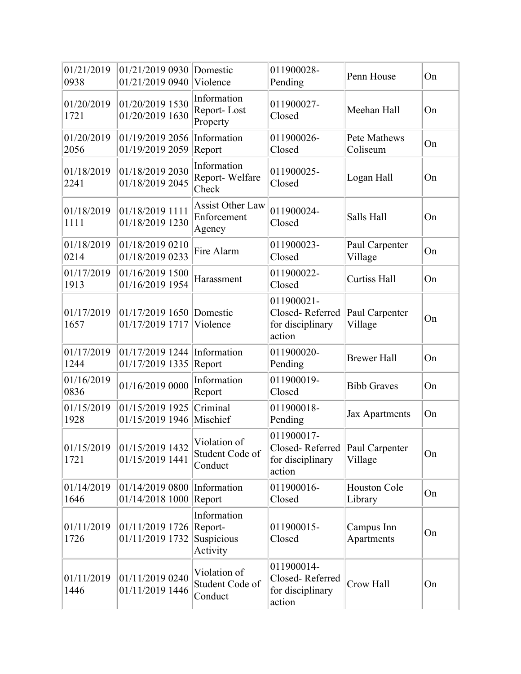| 01/21/2019<br>0938 | 01/21/2019 0930<br>01/21/2019 0940        | Domestic<br>Violence                             | 011900028-<br>Pending                                       | Penn House                | On |
|--------------------|-------------------------------------------|--------------------------------------------------|-------------------------------------------------------------|---------------------------|----|
| 01/20/2019<br>1721 | 01/20/2019 1530<br>01/20/2019 1630        | Information<br>Report-Lost<br>Property           | 011900027-<br>Closed                                        | Meehan Hall               | On |
| 01/20/2019<br>2056 | 01/19/2019 2056<br>01/19/2019 2059        | Information<br>Report                            | 011900026-<br>Closed                                        | Pete Mathews<br>Coliseum  | On |
| 01/18/2019<br>2241 | 01/18/2019 2030<br>01/18/2019 2045        | Information<br>Report-Welfare<br>Check           | 011900025-<br>Closed                                        | Logan Hall                | On |
| 01/18/2019<br>1111 | 01/18/2019 1111<br>01/18/2019 1230        | <b>Assist Other Law</b><br>Enforcement<br>Agency | 011900024-<br>Closed                                        | Salls Hall                | On |
| 01/18/2019<br>0214 | 01/18/2019 0210<br>01/18/2019 0233        | Fire Alarm                                       | 011900023-<br>Closed                                        | Paul Carpenter<br>Village | On |
| 01/17/2019<br>1913 | 01/16/2019 1500<br>01/16/2019 1954        | Harassment                                       | 011900022-<br>Closed                                        | <b>Curtiss Hall</b>       | On |
| 01/17/2019<br>1657 | 01/17/2019 1650<br>01/17/2019 1717        | Domestic<br>Violence                             | 011900021-<br>Closed-Referred<br>for disciplinary<br>action | Paul Carpenter<br>Village | On |
| 01/17/2019<br>1244 | 01/17/2019 1244<br>01/17/2019 1335        | Information<br>Report                            | 011900020-<br>Pending                                       | <b>Brewer Hall</b>        | On |
| 01/16/2019<br>0836 | 01/16/2019 0000                           | Information<br>Report                            | 011900019-<br>Closed                                        | <b>Bibb Graves</b>        | On |
| 01/15/2019<br>1928 | 01/15/2019 1925<br>01/15/2019 1946        | Criminal<br>Mischief                             | 011900018-<br>Pending                                       | <b>Jax Apartments</b>     | On |
| 01/15/2019<br>1721 | 01/15/2019 1432<br>01/15/2019 1441        | Violation of<br>Student Code of<br>Conduct       | 011900017-<br>Closed-Referred<br>for disciplinary<br>action | Paul Carpenter<br>Village | On |
| 01/14/2019<br>1646 | 01/14/2019 0800<br>01/14/2018 1000 Report | Information                                      | 011900016-<br>Closed                                        | Houston Cole<br>Library   | On |
| 01/11/2019<br>1726 | 01/11/2019 1726<br>01/11/2019 1732        | Information<br>Report-<br>Suspicious<br>Activity | 011900015-<br>Closed                                        | Campus Inn<br>Apartments  | On |
| 01/11/2019<br>1446 | 01/11/2019 0240<br>01/11/2019 1446        | Violation of<br>Student Code of<br>Conduct       | 011900014-<br>Closed-Referred<br>for disciplinary<br>action | Crow Hall                 | On |